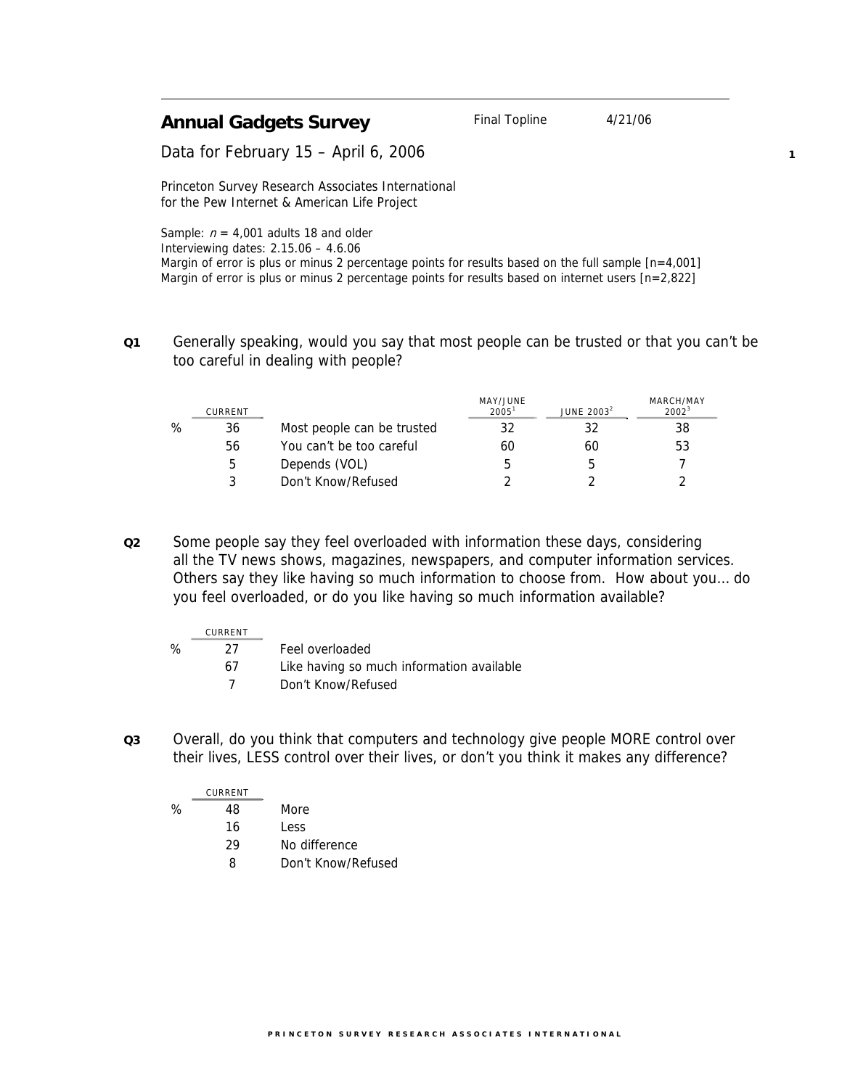| <b>Annual Gadgets Survey</b>         | Final Topline | 4/21/06 |
|--------------------------------------|---------------|---------|
| Data for February 15 - April 6, 2006 |               |         |

**1**

Princeton Survey Research Associates International for the Pew Internet & American Life Project

Sample:  $n = 4,001$  adults 18 and older Interviewing dates: 2.15.06 – 4.6.06 Margin of error is plus or minus 2 percentage points for results based on the full sample  $[n=4,001]$ Margin of error is plus or minus 2 percentage points for results based on internet users [n=2,822]

**Q1** Generally speaking, would you say that most people can be trusted or that you can't be too careful in dealing with people?

|   | CURRENT |                            | MAY/JUNE<br>2005 <sup>1</sup> | JUNE $20032$ | MARCH/MAY<br>$2002^3$ |
|---|---------|----------------------------|-------------------------------|--------------|-----------------------|
| % | 36      | Most people can be trusted | 32                            |              | 38                    |
|   | 56      | You can't be too careful   | 60                            | 60           | 53                    |
|   | 5       | Depends (VOL)              | b                             |              |                       |
|   | 3       | Don't Know/Refused         |                               |              |                       |

**Q2** Some people say they feel overloaded with information these days, considering all the TV news shows, magazines, newspapers, and computer information services. Others say they like having so much information to choose from. How about you… do you feel overloaded, or do you like having so much information available?

|   | CURRENT |                                           |
|---|---------|-------------------------------------------|
| % | 27.     | Feel overloaded                           |
|   | 67      | Like having so much information available |
|   |         | Don't Know/Refused                        |

**Q3** Overall, do you think that computers and technology give people MORE control over their lives, LESS control over their lives, or don't you think it makes any difference?

|   | CURRENT |                    |
|---|---------|--------------------|
| ℅ | 48      | More               |
|   | 16      | Less               |
|   | 29      | No difference      |
|   | Ω       | Don't Know/Refused |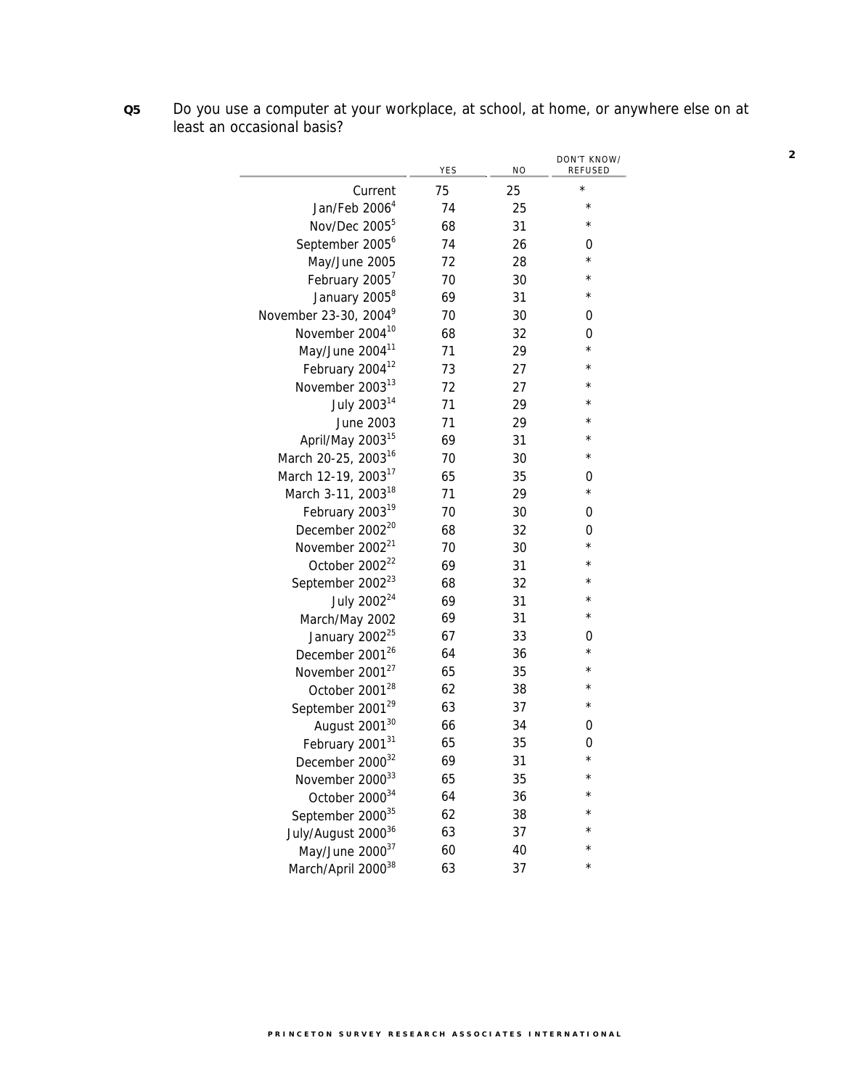**Q5** Do you use a computer at your workplace, at school, at home, or anywhere else on at least an occasional basis?

|                                   | YES | N <sub>O</sub> | DON'T KNOW/<br>REFUSED |
|-----------------------------------|-----|----------------|------------------------|
| Current                           | 75  | 25             | $^\star$               |
| Jan/Feb 2006 <sup>4</sup>         | 74  | 25             | $^{\star}$             |
| Nov/Dec 2005 <sup>5</sup>         | 68  | 31             | $^\star$               |
| September 2005 <sup>6</sup>       | 74  | 26             | 0                      |
| May/June 2005                     | 72  | 28             | $^\star$               |
| February 2005 <sup>7</sup>        | 70  | 30             | $^\star$               |
| January 2005 <sup>8</sup>         | 69  | 31             | $^\star$               |
| November 23-30, 2004 <sup>9</sup> | 70  | 30             | 0                      |
| November 2004 <sup>10</sup>       | 68  | 32             | 0                      |
| May/June 2004 <sup>11</sup>       | 71  | 29             | $^{\star}$             |
| February 2004 <sup>12</sup>       | 73  | 27             | $^\star$               |
| November 2003 <sup>13</sup>       | 72  | 27             | $^\star$               |
| July 2003 <sup>14</sup>           | 71  | 29             | $^\star$               |
| June 2003                         | 71  | 29             | $^{\star}$             |
| April/May 2003 <sup>15</sup>      | 69  | 31             | $^\star$               |
| March 20-25, 2003 <sup>16</sup>   | 70  | 30             | $^\star$               |
| March 12-19, 2003 <sup>17</sup>   | 65  | 35             | 0                      |
| March 3-11, 2003 <sup>18</sup>    | 71  | 29             | $^\star$               |
| February 2003 <sup>19</sup>       | 70  | 30             | 0                      |
| December 2002 <sup>20</sup>       | 68  | 32             | 0                      |
| November 2002 <sup>21</sup>       | 70  | 30             | $^\star$               |
| October 2002 <sup>22</sup>        | 69  | 31             | $^{\star}$             |
| September 2002 <sup>23</sup>      | 68  | 32             | $\star$                |
| July 2002 <sup>24</sup>           | 69  | 31             | $^\star$               |
| March/May 2002                    | 69  | 31             | $^\star$               |
| January 2002 <sup>25</sup>        | 67  | 33             | 0                      |
| December 2001 <sup>26</sup>       | 64  | 36             | $^\star$               |
| November 2001 <sup>27</sup>       | 65  | 35             | $^\star$               |
| October 2001 <sup>28</sup>        | 62  | 38             | $^{\star}$             |
| September 2001 <sup>29</sup>      | 63  | 37             | $^\star$               |
| August 2001 <sup>30</sup>         | 66  | 34             | 0                      |
| February 200131                   | 65  | 35             | 0                      |
| December 2000 <sup>32</sup>       | 69  | 31             | $\star$                |
| November 200033                   | 65  | 35             | $^{\star}$             |
| October 2000 <sup>34</sup>        | 64  | 36             | $\star$                |
| September 2000 <sup>35</sup>      | 62  | 38             | $^{\star}$             |
| July/August 2000 <sup>36</sup>    | 63  | 37             | $\star$                |
| May/June 200037                   | 60  | 40             | $\star$                |
| March/April 200038                | 63  | 37             | $^\star$               |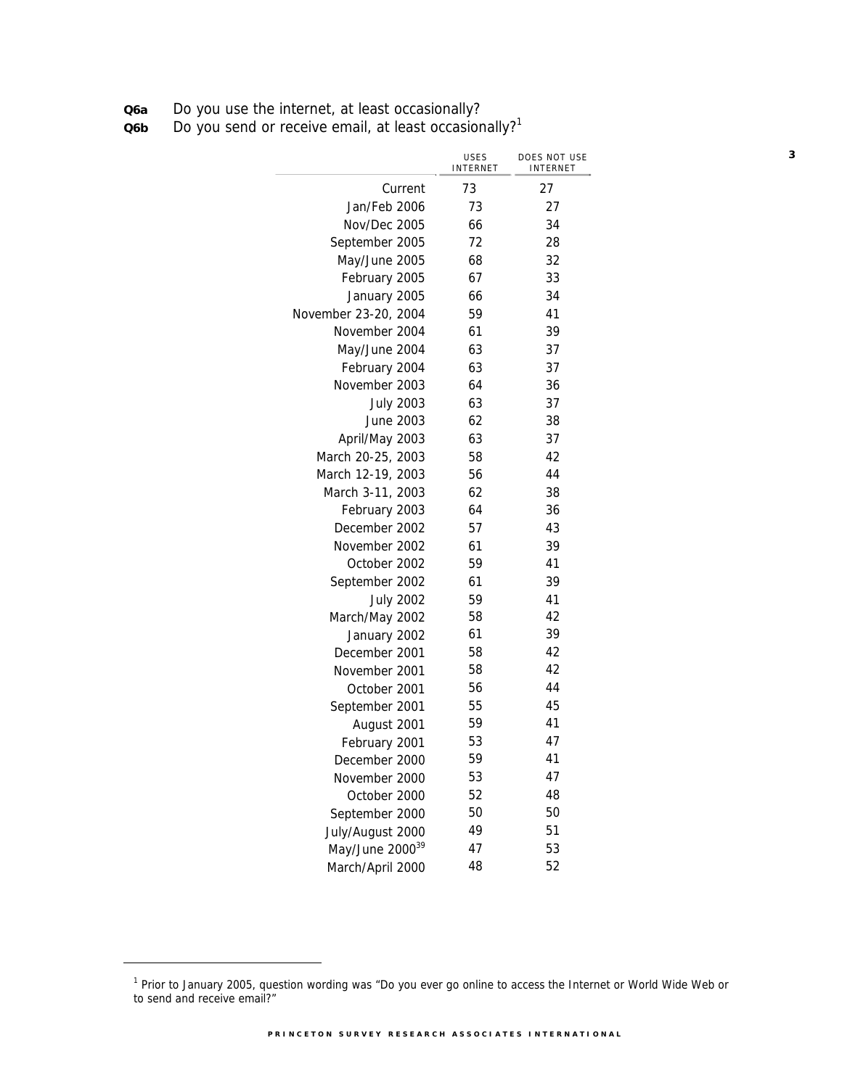**Q6a** Do you use the internet, at least occasionally?

**Q6b** Do you send or receive email, at least occasionally?<sup>1</sup>

|                             | <b>USES</b><br><b>INTERNET</b> | DOES NOT USE<br>INTERNET |
|-----------------------------|--------------------------------|--------------------------|
| Current                     | 73                             | 27                       |
| Jan/Feb 2006                | 73                             | 27                       |
| Nov/Dec 2005                | 66                             | 34                       |
| September 2005              | 72                             | 28                       |
| May/June 2005               | 68                             | 32                       |
| February 2005               | 67                             | 33                       |
| January 2005                | 66                             | 34                       |
| November 23-20, 2004        | 59                             | 41                       |
| November 2004               | 61                             | 39                       |
| May/June 2004               | 63                             | 37                       |
| February 2004               | 63                             | 37                       |
| November 2003               | 64                             | 36                       |
| <b>July 2003</b>            | 63                             | 37                       |
| June 2003                   | 62                             | 38                       |
| April/May 2003              | 63                             | 37                       |
| March 20-25, 2003           | 58                             | 42                       |
| March 12-19, 2003           | 56                             | 44                       |
| March 3-11, 2003            | 62                             | 38                       |
| February 2003               | 64                             | 36                       |
| December 2002               | 57                             | 43                       |
| November 2002               | 61                             | 39                       |
| October 2002                | 59                             | 41                       |
| September 2002              | 61                             | 39                       |
| <b>July 2002</b>            | 59                             | 41                       |
| March/May 2002              | 58                             | 42                       |
| January 2002                | 61                             | 39                       |
| December 2001               | 58                             | 42                       |
| November 2001               | 58                             | 42                       |
| October 2001                | 56                             | 44                       |
| September 2001              | 55                             | 45                       |
| August 2001                 | 59                             | 41                       |
| February 2001               | 53                             | 47                       |
| December 2000               | 59                             | 41                       |
| November 2000               | 53                             | 47                       |
| October 2000                | 52                             | 48                       |
| September 2000              | 50                             | 50                       |
| July/August 2000            | 49                             | 51                       |
| May/June 2000 <sup>39</sup> | 47                             | 53                       |
| March/April 2000            | 48                             | 52                       |

 $\overline{a}$ 

<sup>&</sup>lt;sup>1</sup> Prior to January 2005, question wording was "Do you ever go online to access the Internet or World Wide Web or to send and receive email?"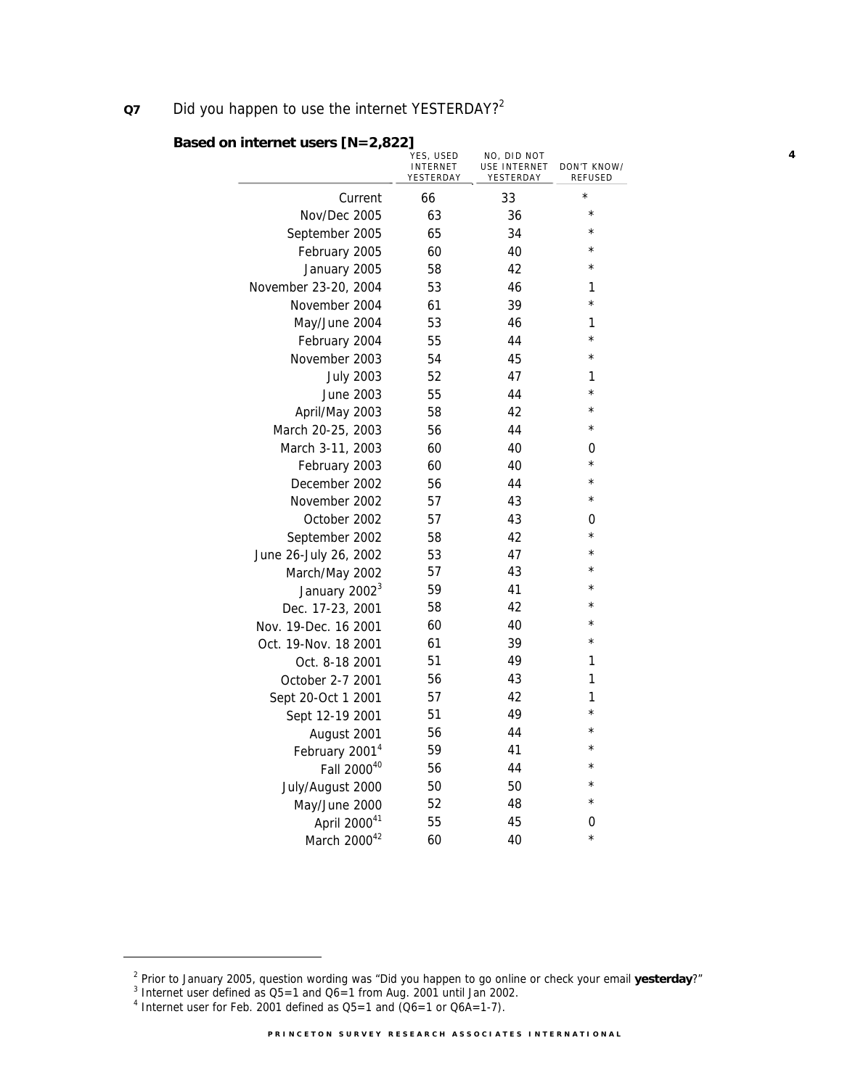## **Q7** Did you happen to use the internet YESTERDAY?<sup>2</sup>

|                            | YES, USED<br><b>INTERNET</b><br>YESTERDAY | NO, DID NOT<br>USE INTERNET<br>YESTERDAY | DON'T KNOW/<br><b>REFUSED</b> |
|----------------------------|-------------------------------------------|------------------------------------------|-------------------------------|
| Current                    | 66                                        | 33                                       | $\star$                       |
| Nov/Dec 2005               | 63                                        | 36                                       | $^{\star}$                    |
| September 2005             | 65                                        | 34                                       | $\star$                       |
| February 2005              | 60                                        | 40                                       | $\star$                       |
| January 2005               | 58                                        | 42                                       | $\star$                       |
| November 23-20, 2004       | 53                                        | 46                                       | 1                             |
| November 2004              | 61                                        | 39                                       | $\star$                       |
| May/June 2004              | 53                                        | 46                                       | 1                             |
| February 2004              | 55                                        | 44                                       | $\star$                       |
| November 2003              | 54                                        | 45                                       | $\star$                       |
| <b>July 2003</b>           | 52                                        | 47                                       | 1                             |
| <b>June 2003</b>           | 55                                        | 44                                       | $\star$                       |
| April/May 2003             | 58                                        | 42                                       | $\star$                       |
| March 20-25, 2003          | 56                                        | 44                                       | $^\star$                      |
| March 3-11, 2003           | 60                                        | 40                                       | 0                             |
| February 2003              | 60                                        | 40                                       | $^\star$                      |
| December 2002              | 56                                        | 44                                       | $\star$                       |
| November 2002              | 57                                        | 43                                       | $\star$                       |
| October 2002               | 57                                        | 43                                       | 0                             |
| September 2002             | 58                                        | 42                                       | $\star$                       |
| June 26-July 26, 2002      | 53                                        | 47                                       | $\star$                       |
| March/May 2002             | 57                                        | 43                                       | $\star$                       |
| January 2002 <sup>3</sup>  | 59                                        | 41                                       | $\star$                       |
| Dec. 17-23, 2001           | 58                                        | 42                                       | $\star$                       |
| Nov. 19-Dec. 16 2001       | 60                                        | 40                                       | $\star$                       |
| Oct. 19-Nov. 18 2001       | 61                                        | 39                                       | $\star$                       |
| Oct. 8-18 2001             | 51                                        | 49                                       | 1                             |
| October 2-7 2001           | 56                                        | 43                                       | 1                             |
| Sept 20-Oct 1 2001         | 57                                        | 42                                       | 1                             |
| Sept 12-19 2001            | 51                                        | 49                                       | $\star$                       |
| August 2001                | 56                                        | 44                                       | $\star$                       |
| February 2001 <sup>4</sup> | 59                                        | 41                                       | $\star$                       |
| Fall 200040                | 56                                        | 44                                       | $\star$                       |
| July/August 2000           | 50                                        | 50                                       | $\star$                       |
| May/June 2000              | 52                                        | 48                                       | $\star$                       |
| April 200041               | 55                                        | 45                                       | 0                             |
| March 200042               | 60                                        | 40                                       | $\star$                       |

**4**

### **Based on internet users [N=2,822]**

j

<sup>&</sup>lt;sup>2</sup> Prior to January 2005, question wording was "Did you happen to go online or check your email **yesterday**?"<br><sup>3</sup> Internet user defined as OE, 1 and O4, 1 from Aug. 2001 until Jan 2002.

 $^{\text{3}}$  Internet user defined as Q5=1 and Q6=1 from Aug. 2001 until Jan 2002.<br><sup>4</sup> Internet user for Feb. 2001 defined as Q5=1 and (Q6=1 or Q6A=1-7).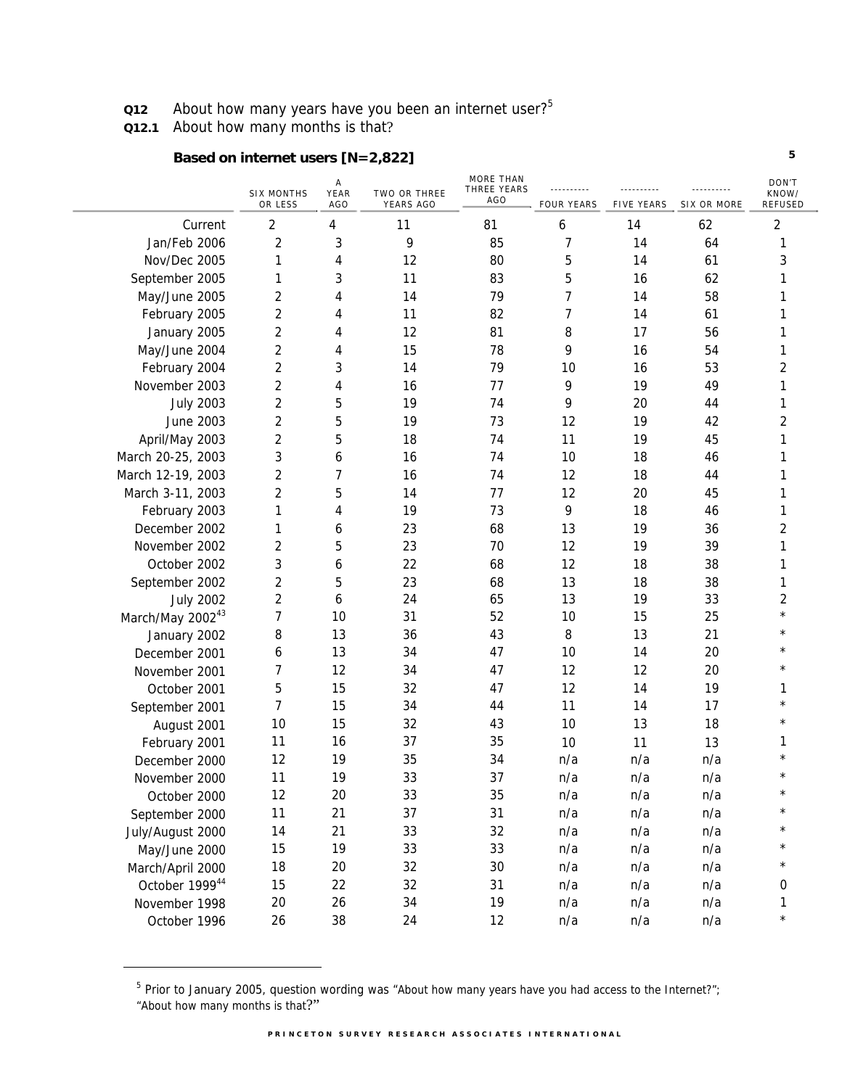**Q12** About how many years have you been an internet user?<sup>5</sup>

**Q12.1** About how many months is that?

-

## **Based on internet users [N=2,822]**

|                              |                              | Α           |                           | <b>MORE THAN</b><br>THREE YEARS |                   |                   |             | DON'T                   |
|------------------------------|------------------------------|-------------|---------------------------|---------------------------------|-------------------|-------------------|-------------|-------------------------|
|                              | <b>SIX MONTHS</b><br>OR LESS | YEAR<br>AGO | TWO OR THREE<br>YEARS AGO | AGO                             | <b>FOUR YEARS</b> | <b>FIVE YEARS</b> | SIX OR MORE | KNOW/<br>REFUSED        |
| Current                      | $\overline{2}$               | 4           | 11                        | 81                              | 6                 | 14                | 62          | $\overline{2}$          |
| Jan/Feb 2006                 | 2                            | 3           | 9                         | 85                              | 7                 | 14                | 64          | 1                       |
| Nov/Dec 2005                 | 1                            | 4           | 12                        | 80                              | 5                 | 14                | 61          | 3                       |
| September 2005               | 1                            | 3           | 11                        | 83                              | 5                 | 16                | 62          | 1                       |
| May/June 2005                | 2                            | 4           | 14                        | 79                              | 7                 | 14                | 58          | 1                       |
| February 2005                | 2                            | 4           | 11                        | 82                              | 7                 | 14                | 61          | 1                       |
| January 2005                 | 2                            | 4           | 12                        | 81                              | 8                 | 17                | 56          | 1                       |
| May/June 2004                | 2                            | 4           | 15                        | 78                              | 9                 | 16                | 54          | 1                       |
| February 2004                | 2                            | 3           | 14                        | 79                              | 10                | 16                | 53          | 2                       |
| November 2003                | 2                            | 4           | 16                        | 77                              | 9                 | 19                | 49          | 1                       |
| <b>July 2003</b>             | 2                            | 5           | 19                        | 74                              | 9                 | 20                | 44          | 1                       |
| <b>June 2003</b>             | 2                            | 5           | 19                        | 73                              | 12                | 19                | 42          | $\overline{\mathbf{c}}$ |
| April/May 2003               | 2                            | 5           | 18                        | 74                              | 11                | 19                | 45          | 1                       |
| March 20-25, 2003            | 3                            | 6           | 16                        | 74                              | 10                | 18                | 46          | 1                       |
| March 12-19, 2003            | 2                            | 7           | 16                        | 74                              | 12                | 18                | 44          | 1                       |
| March 3-11, 2003             | 2                            | 5           | 14                        | 77                              | 12                | 20                | 45          | 1                       |
| February 2003                | 1                            | 4           | 19                        | 73                              | 9                 | 18                | 46          | 1                       |
| December 2002                | 1                            | 6           | 23                        | 68                              | 13                | 19                | 36          | 2                       |
| November 2002                | 2                            | 5           | 23                        | 70                              | 12                | 19                | 39          | 1                       |
| October 2002                 | 3                            | 6           | 22                        | 68                              | 12                | 18                | 38          | 1                       |
| September 2002               | 2                            | 5           | 23                        | 68                              | 13                | 18                | 38          | 1                       |
| <b>July 2002</b>             | 2                            | 6           | 24                        | 65                              | 13                | 19                | 33          | 2                       |
| March/May 2002 <sup>43</sup> | 7                            | 10          | 31                        | 52                              | 10                | 15                | 25          | $\star$                 |
| January 2002                 | 8                            | 13          | 36                        | 43                              | 8                 | 13                | 21          |                         |
| December 2001                | 6                            | 13          | 34                        | 47                              | 10                | 14                | 20          |                         |
| November 2001                | 7                            | 12          | 34                        | 47                              | 12                | 12                | 20          | $\star$                 |
| October 2001                 | 5                            | 15          | 32                        | 47                              | 12                | 14                | 19          | 1                       |
| September 2001               | 7                            | 15          | 34                        | 44                              | 11                | 14                | 17          | $^\star$                |
| August 2001                  | 10                           | 15          | 32                        | 43                              | 10                | 13                | 18          | $\star$                 |
| February 2001                | 11                           | 16          | 37                        | 35                              | 10                | 11                | 13          | 1                       |
| December 2000                | 12                           | 19          | 35                        | 34                              | n/a               | n/a               | n/a         |                         |
| November 2000                | 11                           | 19          | 33                        | 37                              | n/a               | n/a               | n/a         | $^\star$                |
| October 2000                 | 12                           | 20          | 33                        | 35                              | n/a               | n/a               | n/a         | $^\star$                |
| September 2000               | 11                           | 21          | 37                        | 31                              | n/a               | n/a               | n/a         |                         |
| July/August 2000             | 14                           | 21          | 33                        | 32                              | n/a               | n/a               | n/a         |                         |
| May/June 2000                | 15                           | 19          | 33                        | 33                              | n/a               | n/a               | n/a         |                         |
| March/April 2000             | 18                           | 20          | 32                        | 30                              | n/a               | n/a               | n/a         |                         |
| October 1999 <sup>44</sup>   | 15                           | 22          | 32                        | 31                              | n/a               | n/a               | n/a         | 0                       |
| November 1998                | 20                           | 26          | 34                        | 19                              | n/a               | n/a               | n/a         | 1                       |
| October 1996                 | 26                           | 38          | 24                        | 12                              | n/a               | n/a               | n/a         | $\star$                 |

<sup>&</sup>lt;sup>5</sup> Prior to January 2005, question wording was "About how many years have you had access to the Internet?"; "About how many months is that?"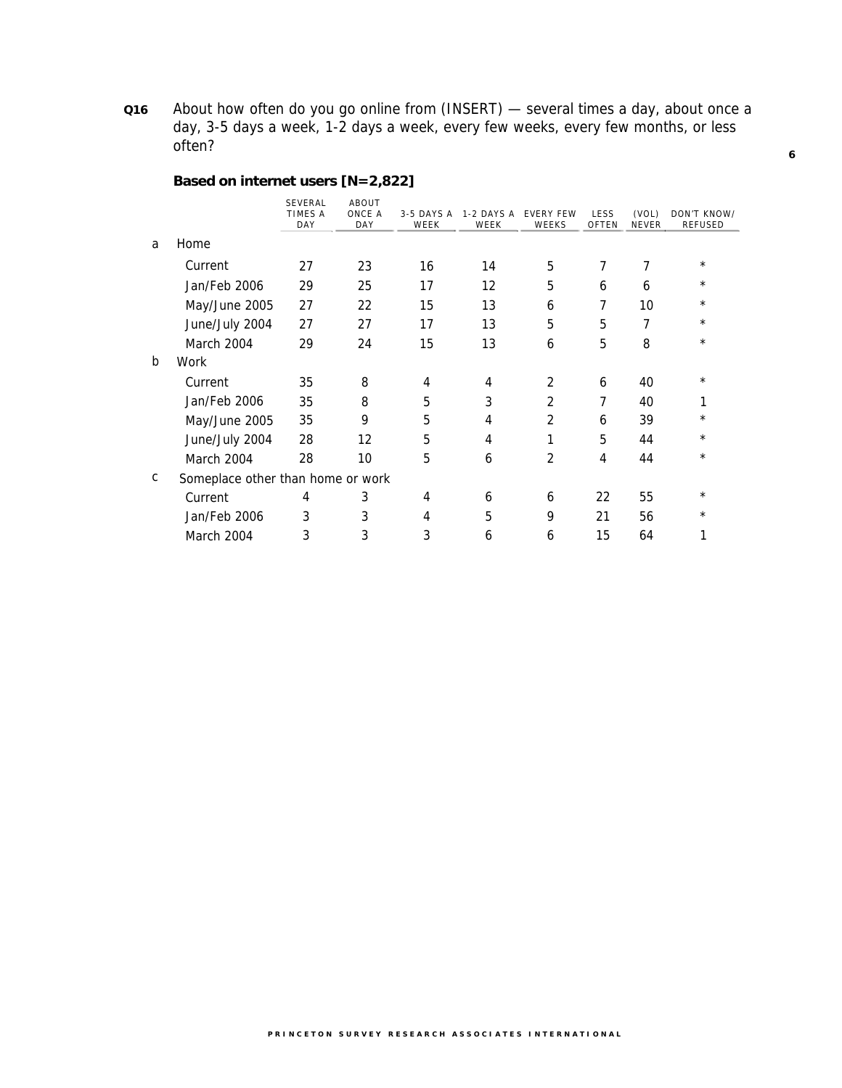**Q16** About how often do you go online from (INSERT) — several times a day, about once a day, 3-5 days a week, 1-2 days a week, every few weeks, every few months, or less often?

## **Based on internet users [N=2,822]**

|              |                                   | <b>SEVERAL</b><br><b>TIMES A</b><br>DAY | ABOUT<br>ONCE A<br>DAY | 3-5 DAYS A<br>WEEK | 1-2 DAYS A<br>WEEK | <b>EVERY FEW</b><br>WEEKS | LESS<br>OFTEN  | (VOL)<br><b>NEVER</b> | DON'T KNOW/<br><b>REFUSED</b> |
|--------------|-----------------------------------|-----------------------------------------|------------------------|--------------------|--------------------|---------------------------|----------------|-----------------------|-------------------------------|
| a            | Home                              |                                         |                        |                    |                    |                           |                |                       |                               |
|              | Current                           | 27                                      | 23                     | 16                 | 14                 | 5                         | $\overline{7}$ | 7                     | $^\star$                      |
|              | Jan/Feb 2006                      | 29                                      | 25                     | 17                 | 12                 | 5                         | 6              | 6                     | $^\star$                      |
|              | May/June 2005                     | 27                                      | 22                     | 15                 | 13                 | 6                         | 7              | 10                    | $^{\star}$                    |
|              | June/July 2004                    | 27                                      | 27                     | 17                 | 13                 | 5                         | 5              | $\overline{7}$        | $^\star$                      |
|              | March 2004                        | 29                                      | 24                     | 15                 | 13                 | 6                         | 5              | 8                     | $\star$                       |
| $\mathsf{b}$ | Work                              |                                         |                        |                    |                    |                           |                |                       |                               |
|              | Current                           | 35                                      | 8                      | 4                  | 4                  | $\mathcal{P}$             | 6              | 40                    | $\star$                       |
|              | Jan/Feb 2006                      | 35                                      | 8                      | 5                  | 3                  | $\mathcal{P}$             | 7              | 40                    | 1                             |
|              | May/June 2005                     | 35                                      | 9                      | 5                  | 4                  | $\overline{2}$            | 6              | 39                    | $^\star$                      |
|              | June/July 2004                    | 28                                      | 12                     | 5                  | 4                  | 1                         | 5              | 44                    | $^\star$                      |
|              | March 2004                        | 28                                      | 10                     | 5                  | 6                  | 2                         | 4              | 44                    | $^\star$                      |
| C            | Someplace other than home or work |                                         |                        |                    |                    |                           |                |                       |                               |
|              | Current                           | 4                                       | 3                      | 4                  | 6                  | 6                         | 22             | 55                    | $^\star$                      |
|              | Jan/Feb 2006                      | 3                                       | 3                      | 4                  | 5                  | 9                         | 21             | 56                    | $^\star$                      |
|              | March 2004                        | 3                                       | 3                      | 3                  | 6                  | 6                         | 15             | 64                    | 1                             |
|              |                                   |                                         |                        |                    |                    |                           |                |                       |                               |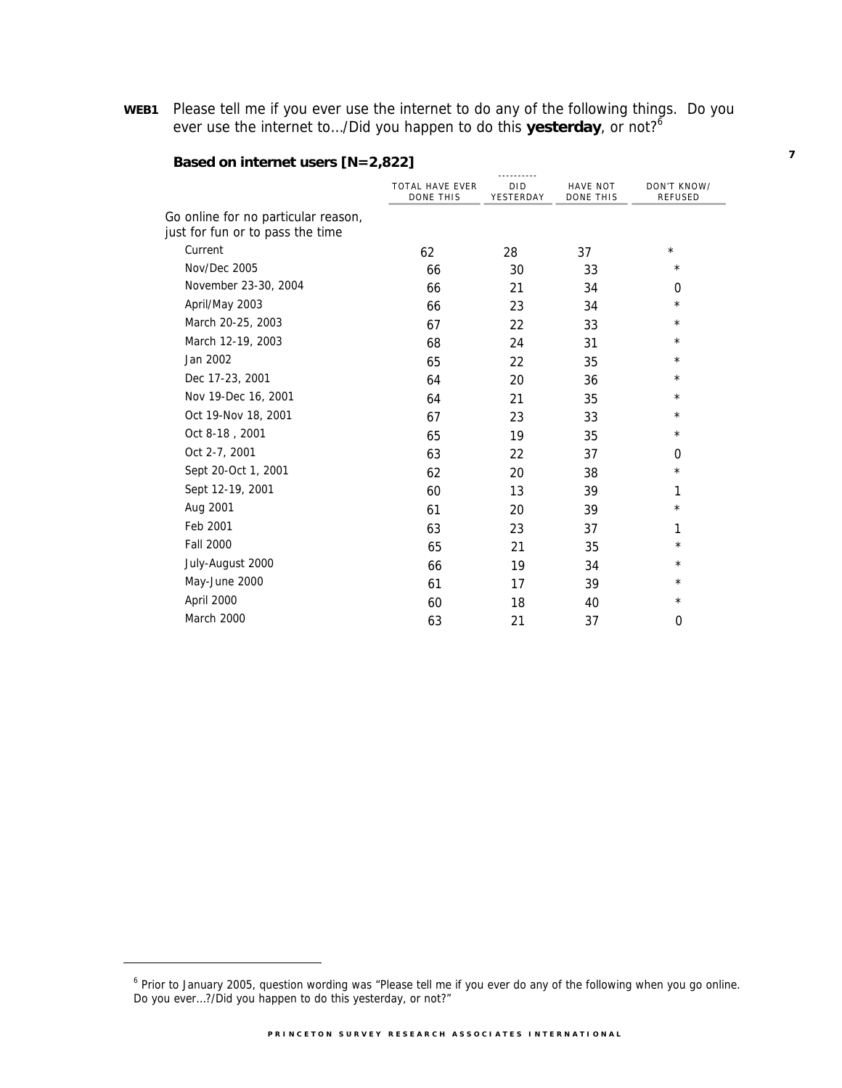**WEB1** Please tell me if you ever use the internet to do any of the following things. Do you ever use the internet to.../Did you happen to do this yesterday, or not?<sup>6</sup>

|                                                                         |                                            | ---------- <i>-</i>     |                                     |                               |
|-------------------------------------------------------------------------|--------------------------------------------|-------------------------|-------------------------------------|-------------------------------|
|                                                                         | <b>TOTAL HAVE EVER</b><br><b>DONE THIS</b> | <b>DID</b><br>YESTERDAY | <b>HAVE NOT</b><br><b>DONE THIS</b> | DON'T KNOW/<br><b>REFUSED</b> |
| Go online for no particular reason,<br>just for fun or to pass the time |                                            |                         |                                     |                               |
| Current                                                                 | 62                                         | 28                      | 37                                  | $^{\star}$                    |
| Nov/Dec 2005                                                            | 66                                         | 30                      | 33                                  | $^\star$                      |
| November 23-30, 2004                                                    | 66                                         | 21                      | 34                                  | 0                             |
| April/May 2003                                                          | 66                                         | 23                      | 34                                  | $^\star$                      |
| March 20-25, 2003                                                       | 67                                         | 22                      | 33                                  | $^\star$                      |
| March 12-19, 2003                                                       | 68                                         | 24                      | 31                                  | $^\star$                      |
| Jan 2002                                                                | 65                                         | 22                      | 35                                  | $^\star$                      |
| Dec 17-23, 2001                                                         | 64                                         | 20                      | 36                                  | $^\star$                      |
| Nov 19-Dec 16, 2001                                                     | 64                                         | 21                      | 35                                  | $^\star$                      |
| Oct 19-Nov 18, 2001                                                     | 67                                         | 23                      | 33                                  | $^\star$                      |
| Oct 8-18, 2001                                                          | 65                                         | 19                      | 35                                  | $^\star$                      |
| Oct 2-7, 2001                                                           | 63                                         | 22                      | 37                                  | 0                             |
| Sept 20-Oct 1, 2001                                                     | 62                                         | 20                      | 38                                  | $^\star$                      |
| Sept 12-19, 2001                                                        | 60                                         | 13                      | 39                                  | 1                             |
| Aug 2001                                                                | 61                                         | 20                      | 39                                  | $^\star$                      |
| Feb 2001                                                                | 63                                         | 23                      | 37                                  | 1                             |
| <b>Fall 2000</b>                                                        | 65                                         | 21                      | 35                                  | $^\star$                      |
| July-August 2000                                                        | 66                                         | 19                      | 34                                  | $^\star$                      |
| May-June 2000                                                           | 61                                         | 17                      | 39                                  | $\star$                       |
| April 2000                                                              | 60                                         | 18                      | 40                                  | $^\star$                      |
| March 2000                                                              | 63                                         | 21                      | 37                                  | 0                             |

### **Based on internet users [N=2,822]**

 $\overline{a}$ 

<sup>&</sup>lt;sup>6</sup> Prior to January 2005, question wording was "Please tell me if you ever do any of the following when you go online. Do you ever…?/Did you happen to do this yesterday, or not?"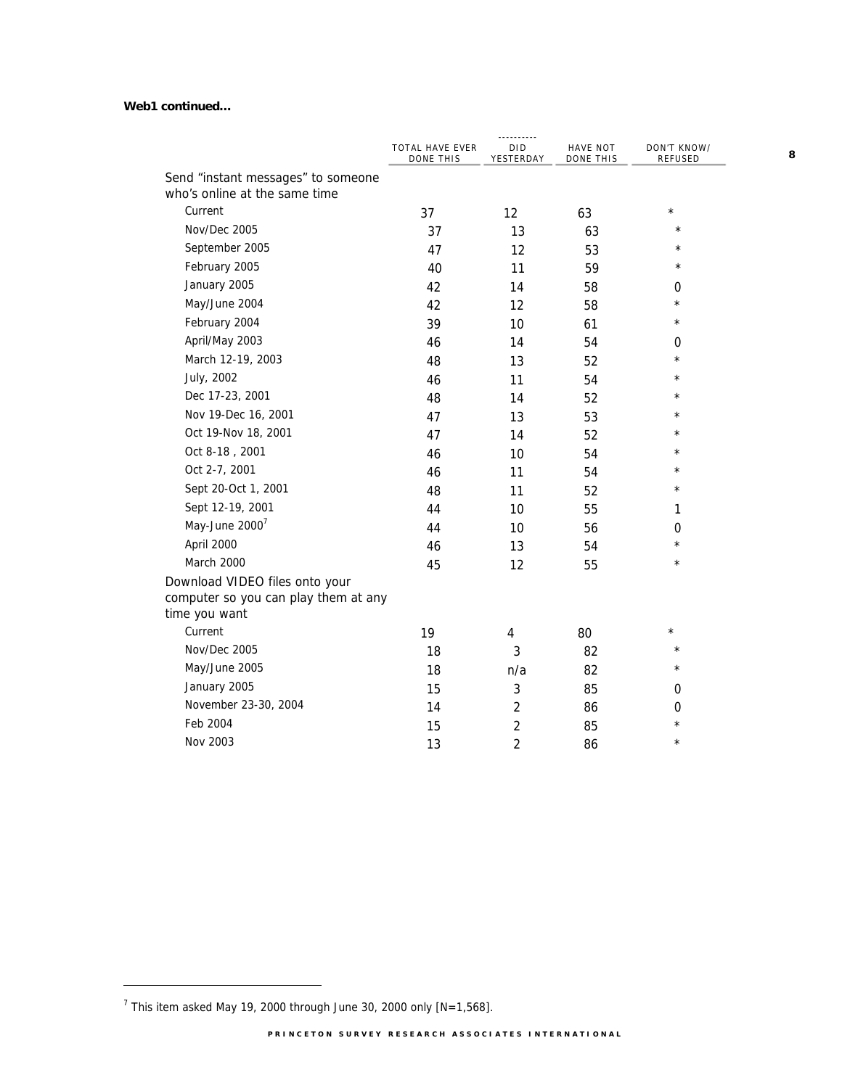#### **Web1 continued…**

|                                                                                         | TOTAL HAVE EVER<br>DONE THIS | ----------<br><b>DID</b><br>YESTERDAY | HAVE NOT<br>DONE THIS | DON'T KNOW/<br>REFUSED |
|-----------------------------------------------------------------------------------------|------------------------------|---------------------------------------|-----------------------|------------------------|
| Send "instant messages" to someone                                                      |                              |                                       |                       |                        |
| who's online at the same time                                                           |                              |                                       |                       |                        |
| Current                                                                                 | 37                           | 12                                    | 63                    | $\star$                |
| Nov/Dec 2005                                                                            | 37                           | 13                                    | 63                    | $\star$                |
| September 2005                                                                          | 47                           | 12                                    | 53                    | $\star$                |
| February 2005                                                                           | 40                           | 11                                    | 59                    | $\star$                |
| January 2005                                                                            | 42                           | 14                                    | 58                    | 0                      |
| May/June 2004                                                                           | 42                           | 12                                    | 58                    | $\star$                |
| February 2004                                                                           | 39                           | 10                                    | 61                    | $\star$                |
| April/May 2003                                                                          | 46                           | 14                                    | 54                    | 0                      |
| March 12-19, 2003                                                                       | 48                           | 13                                    | 52                    | $\star$                |
| July, 2002                                                                              | 46                           | 11                                    | 54                    | $\star$                |
| Dec 17-23, 2001                                                                         | 48                           | 14                                    | 52                    | $\star$                |
| Nov 19-Dec 16, 2001                                                                     | 47                           | 13                                    | 53                    | $\star$                |
| Oct 19-Nov 18, 2001                                                                     | 47                           | 14                                    | 52                    | $^\star$               |
| Oct 8-18, 2001                                                                          | 46                           | 10                                    | 54                    | $^\star$               |
| Oct 2-7, 2001                                                                           | 46                           | 11                                    | 54                    | $\star$                |
| Sept 20-Oct 1, 2001                                                                     | 48                           | 11                                    | 52                    | $\star$                |
| Sept 12-19, 2001                                                                        | 44                           | 10                                    | 55                    | 1                      |
| May-June $2000^7$                                                                       | 44                           | 10                                    | 56                    | 0                      |
| April 2000                                                                              | 46                           | 13                                    | 54                    | $\star$                |
| March 2000                                                                              | 45                           | 12                                    | 55                    | $\star$                |
| Download VIDEO files onto your<br>computer so you can play them at any<br>time you want |                              |                                       |                       |                        |
| Current                                                                                 | 19                           | 4                                     | 80                    | $\star$                |
| Nov/Dec 2005                                                                            | 18                           | 3                                     | 82                    | $\star$                |
| May/June 2005                                                                           | 18                           | n/a                                   | 82                    | $\star$                |
| January 2005                                                                            | 15                           | $\sqrt{3}$                            | 85                    | 0                      |
| November 23-30, 2004                                                                    | 14                           | $\overline{2}$                        | 86                    | 0                      |
| Feb 2004                                                                                | 15                           | $\overline{c}$                        | 85                    | $\star$                |
| Nov 2003                                                                                | 13                           | $\overline{2}$                        | 86                    | $\star$                |

-

<sup>&</sup>lt;sup>7</sup> This item asked May 19, 2000 through June 30, 2000 only [N=1,568].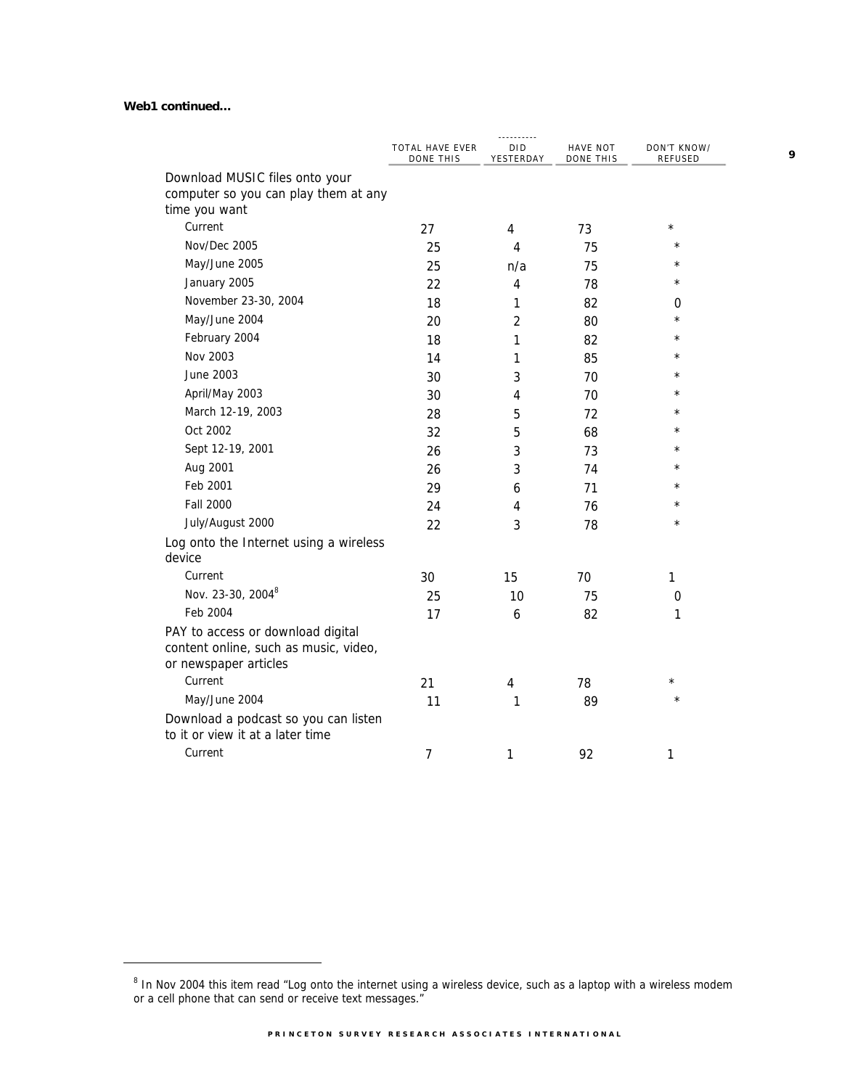#### **Web1 continued…**

 $\overline{a}$ 

|                                                                                                     | TOTAL HAVE EVER<br>DONE THIS | <b>DID</b><br>YESTERDAY | HAVE NOT<br>DONE THIS | DON'T KNOW/<br><b>REFUSED</b> |
|-----------------------------------------------------------------------------------------------------|------------------------------|-------------------------|-----------------------|-------------------------------|
| Download MUSIC files onto your                                                                      |                              |                         |                       |                               |
| computer so you can play them at any<br>time you want                                               |                              |                         |                       |                               |
| Current                                                                                             | 27                           | 4                       | 73                    | $^\star$                      |
| Nov/Dec 2005                                                                                        | 25                           | 4                       | 75                    | $\star$                       |
| May/June 2005                                                                                       | 25                           | n/a                     | 75                    | $\star$                       |
| January 2005                                                                                        | 22                           | 4                       | 78                    | $^\star$                      |
| November 23-30, 2004                                                                                | 18                           | 1                       | 82                    | 0                             |
| May/June 2004                                                                                       | 20                           | $\overline{2}$          | 80                    | $\star$                       |
| February 2004                                                                                       | 18                           | 1                       | 82                    | $\star$                       |
| Nov 2003                                                                                            | 14                           | 1                       | 85                    | $^\star$                      |
| June 2003                                                                                           | 30                           | 3                       | 70                    | $^\star$                      |
| April/May 2003                                                                                      | 30                           | 4                       | 70                    | $^\star$                      |
| March 12-19, 2003                                                                                   | 28                           | 5                       | 72                    | $^\star$                      |
| Oct 2002                                                                                            | 32                           | 5                       | 68                    | $\star$                       |
| Sept 12-19, 2001                                                                                    | 26                           | 3                       | 73                    | $^\star$                      |
| Aug 2001                                                                                            | 26                           | 3                       | 74                    | $^\star$                      |
| Feb 2001                                                                                            | 29                           | 6                       | 71                    | $\star$                       |
| <b>Fall 2000</b>                                                                                    | 24                           | 4                       | 76                    | $\star$                       |
| July/August 2000                                                                                    | 22                           | 3                       | 78                    | $\star$                       |
| Log onto the Internet using a wireless<br>device                                                    |                              |                         |                       |                               |
| Current                                                                                             | 30                           | 15                      | 70                    | 1                             |
| Nov. 23-30, 20048                                                                                   | 25                           | 10                      | 75                    | 0                             |
| Feb 2004                                                                                            | 17                           | 6                       | 82                    | 1                             |
| PAY to access or download digital<br>content online, such as music, video,<br>or newspaper articles |                              |                         |                       |                               |
| Current                                                                                             | 21                           | 4                       | 78                    | $^\star$                      |
| May/June 2004                                                                                       | 11                           | 1                       | 89                    | $\star$                       |
| Download a podcast so you can listen<br>to it or view it at a later time                            |                              |                         |                       |                               |
| Current                                                                                             | 7                            | 1                       | 92                    | 1                             |

<sup>&</sup>lt;sup>8</sup> In Nov 2004 this item read "Log onto the internet using a wireless device, such as a laptop with a wireless modem or a cell phone that can send or receive text messages."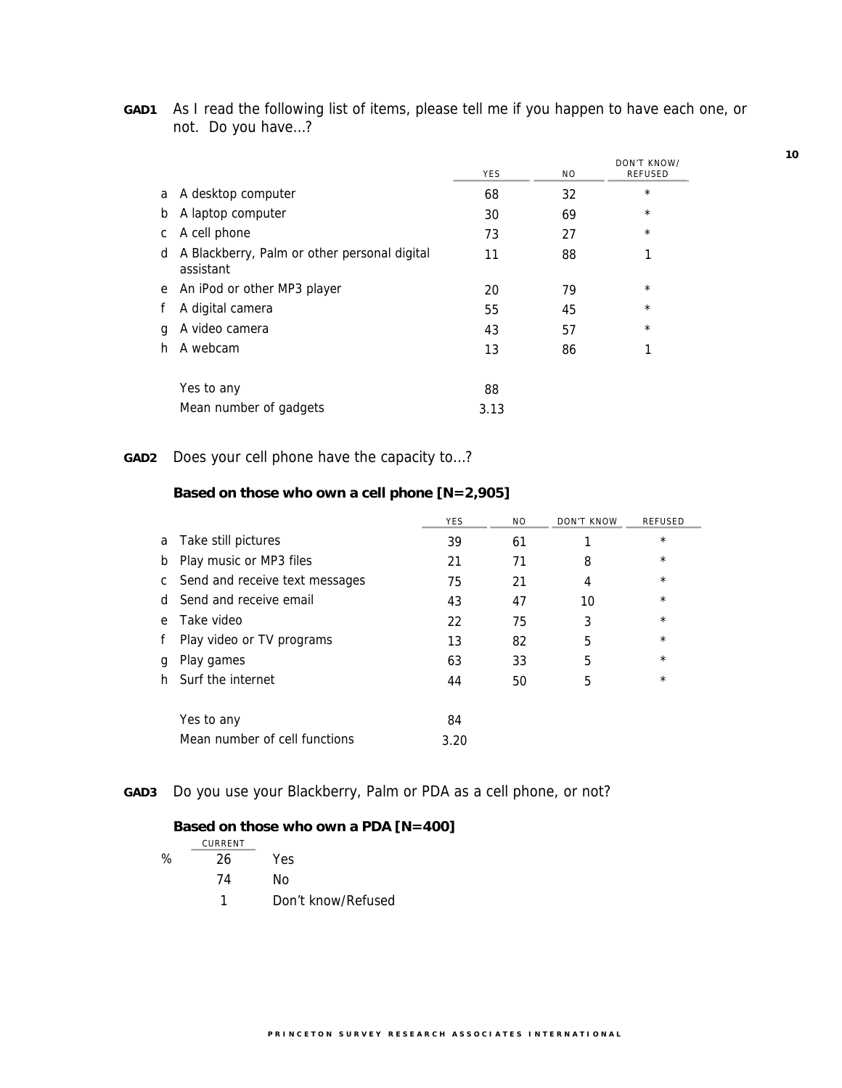| GAD1 | As I read the following list of items, please tell me if you happen to have each one, or |
|------|------------------------------------------------------------------------------------------|
|      | not. Do you have?                                                                        |

|   |                                                           | <b>YES</b> | ΝO | DON'T KNOW/<br><b>REFUSED</b> |
|---|-----------------------------------------------------------|------------|----|-------------------------------|
| a | A desktop computer                                        | 68         | 32 | $^\star$                      |
| b | A laptop computer                                         | 30         | 69 | $^\star$                      |
| С | A cell phone                                              | 73         | 27 | $^\star$                      |
| d | A Blackberry, Palm or other personal digital<br>assistant | 11         | 88 | 1                             |
| e | An iPod or other MP3 player                               | 20         | 79 | $^\star$                      |
| f | A digital camera                                          | 55         | 45 | $\star$                       |
| g | A video camera                                            | 43         | 57 | $^\star$                      |
| h | A webcam                                                  | 13         | 86 | 1                             |
|   | Yes to any                                                | 88         |    |                               |
|   | Mean number of gadgets                                    | 3.13       |    |                               |

# **GAD2** Does your cell phone have the capacity to…?

## **Based on those who own a cell phone [N=2,905]**

|    |                                | <b>YES</b> | N <sub>O</sub> | DON'T KNOW | <b>REFUSED</b> |
|----|--------------------------------|------------|----------------|------------|----------------|
| a  | Take still pictures            | 39         | 61             |            | $\star$        |
| b  | Play music or MP3 files        | 21         | 71             | 8          | $\star$        |
| C  | Send and receive text messages | 75         | 21             | 4          | $\star$        |
| d. | Send and receive email         | 43         | 47             | 10         | $^{\star}$     |
| e  | Take video                     | 22         | 75             | 3          | $^\star$       |
| f  | Play video or TV programs      | 13         | 82             | 5          | $\star$        |
| q  | Play games                     | 63         | 33             | 5          | $\star$        |
| h. | Surf the internet              | 44         | 50             | 5          | $^{\star}$     |
|    |                                |            |                |            |                |
|    | Yes to any                     | 84         |                |            |                |
|    | Mean number of cell functions  | 3.20       |                |            |                |

## **GAD3** Do you use your Blackberry, Palm or PDA as a cell phone, or not?

## **Based on those who own a PDA [N=400]**

|   | CURRENT |                    |
|---|---------|--------------------|
| ℅ | 26      | Yes                |
|   | 74      | Nο                 |
|   |         | Don't know/Refused |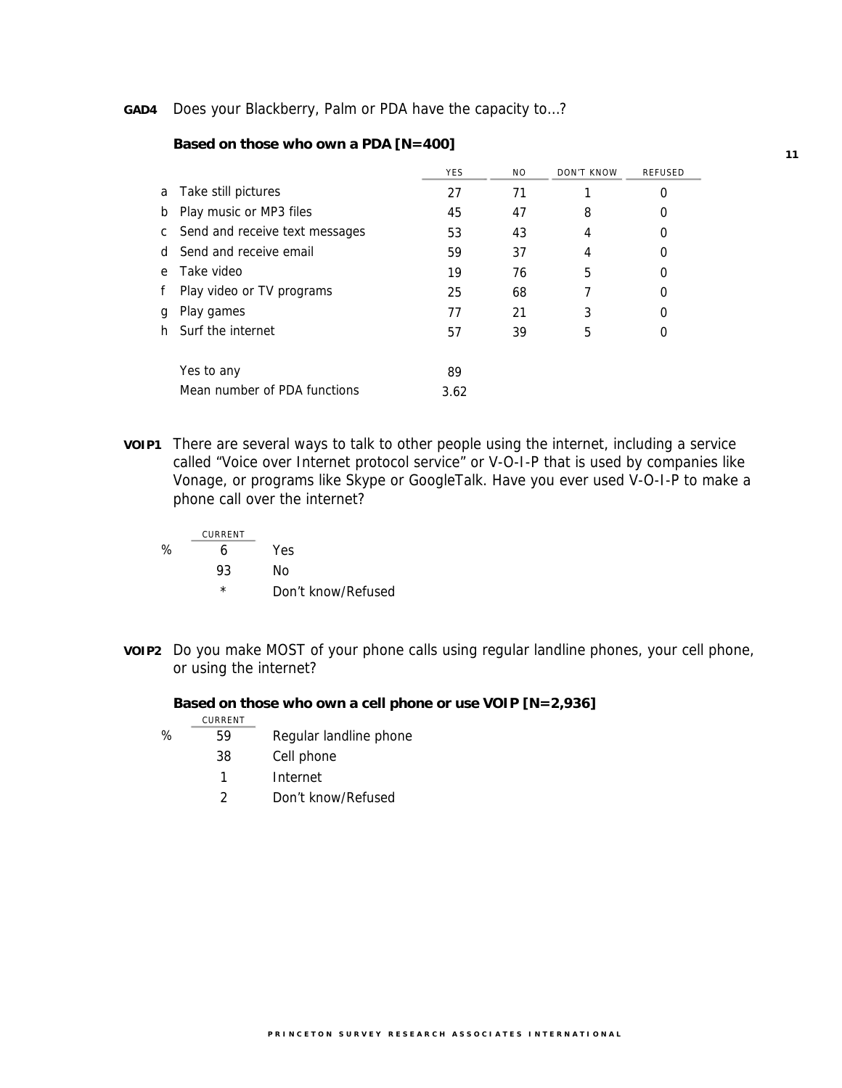#### **GAD4** Does your Blackberry, Palm or PDA have the capacity to…?

|              |                                | <b>YES</b> | NO. | DON'T KNOW | REFUSED |
|--------------|--------------------------------|------------|-----|------------|---------|
| a            | Take still pictures            | 27         | 71  |            | 0       |
| b            | Play music or MP3 files        | 45         | 47  | 8          | 0       |
| C.           | Send and receive text messages | 53         | 43  | 4          | 0       |
| <sub>d</sub> | Send and receive email         | 59         | 37  | 4          | 0       |
| e            | Take video                     | 19         | 76  | 5          | 0       |
|              | Play video or TV programs      | 25         | 68  |            | 0       |
| g            | Play games                     | 77         | 21  | 3          | 0       |
| h            | Surf the internet              | 57         | 39  | 5          | 0       |
|              |                                |            |     |            |         |
|              | Yes to any                     | 89         |     |            |         |
|              | Mean number of PDA functions   | 3.62       |     |            |         |

#### **Based on those who own a PDA [N=400]**

**VOIP1** There are several ways to talk to other people using the internet, including a service called "Voice over Internet protocol service" or V-O-I-P that is used by companies like Vonage, or programs like Skype or GoogleTalk. Have you ever used V-O-I-P to make a phone call over the internet?

|   | CURRENT |                    |
|---|---------|--------------------|
| ℅ | Һ       | Yes                |
|   | 93      | Nο                 |
|   | *       | Don't know/Refused |

**VOIP2** Do you make MOST of your phone calls using regular landline phones, your cell phone, or using the internet?

#### **Based on those who own a cell phone or use VOIP [N=2,936]**

|   | CURRENT |                        |
|---|---------|------------------------|
| ℅ | 59      | Regular landline phone |
|   | 38      | Cell phone             |
|   | 1       | Internet               |
|   | 2       | Don't know/Refused     |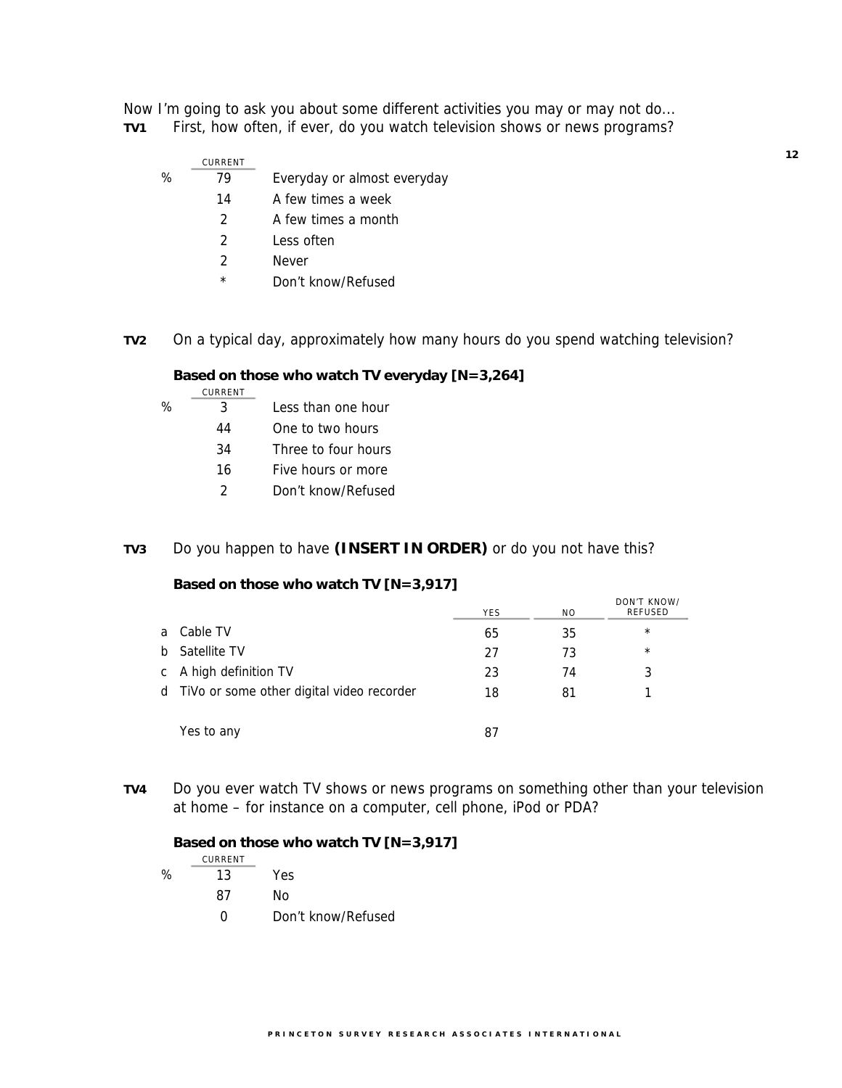Now I'm going to ask you about some different activities you may or may not do... **TV1** First, how often, if ever, do you watch television shows or news programs?

|   | CURRENT |                             |
|---|---------|-----------------------------|
| % | 79      | Everyday or almost everyday |
|   | 14      | A few times a week          |
|   |         | A few times a month         |

- 2 Less often
- 2 Never
- \* Don't know/Refused

## **TV2** On a typical day, approximately how many hours do you spend watching television?

#### **Based on those who watch TV everyday [N=3,264]**

|   | CURRENT |                     |
|---|---------|---------------------|
| ℅ | २       | Less than one hour  |
|   | 44      | One to two hours    |
|   | 34      | Three to four hours |
|   | 16      | Five hours or more  |
|   | 2       | Don't know/Refused  |

### **TV3** Do you happen to have **(INSERT IN ORDER)** or do you not have this?

### **Based on those who watch TV [N=3,917]**

|    |                                             | <b>YES</b> | N <sub>O</sub> | DON'T KNOW/<br>REFUSED |
|----|---------------------------------------------|------------|----------------|------------------------|
| a. | Cable TV                                    | 65         | 35             | $\star$                |
| b. | Satellite TV                                | 27         | 73             | $\star$                |
| C  | A high definition TV                        | 23         | 74             | 3                      |
|    | d TiVo or some other digital video recorder | 18         | 81             |                        |
|    |                                             |            |                |                        |
|    | Yes to any                                  | 87         |                |                        |

**TV4** Do you ever watch TV shows or news programs on something other than your television at home – for instance on a computer, cell phone, iPod or PDA?

 **Based on those who watch TV [N=3,917]**  CURRENT % 13 Yes 87 No 0 Don't know/Refused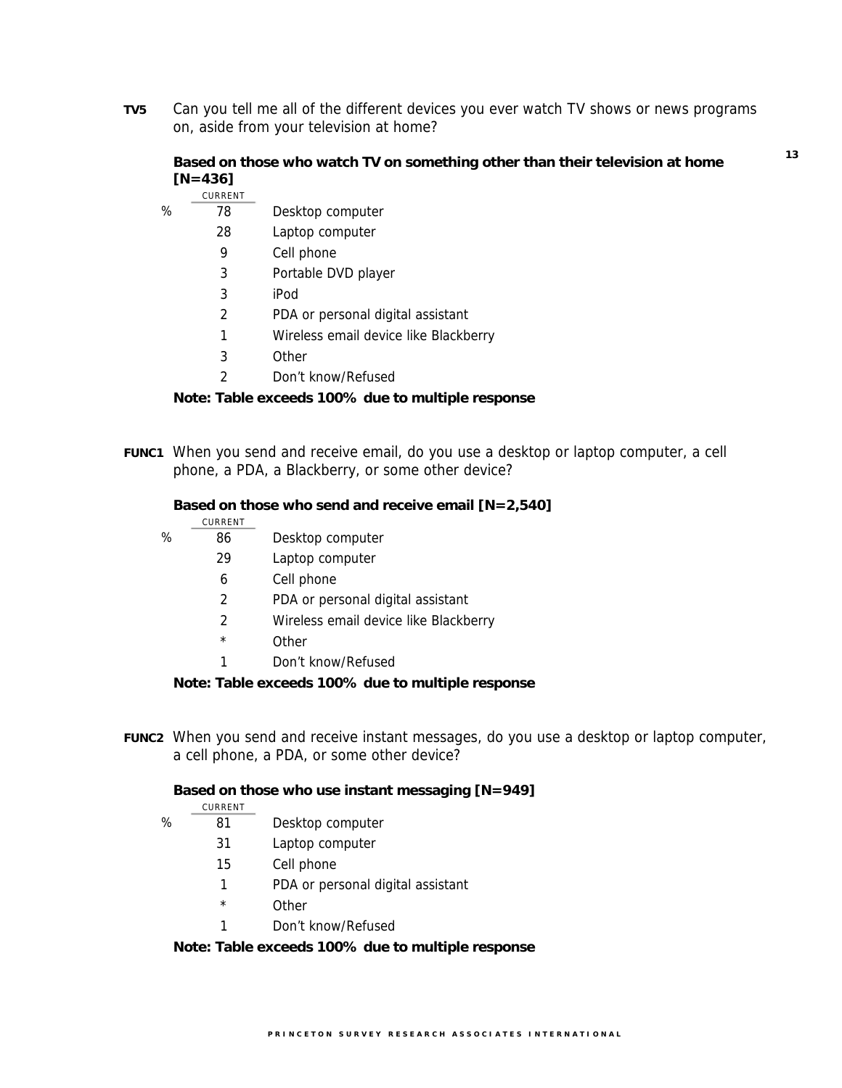**TV5** Can you tell me all of the different devices you ever watch TV shows or news programs on, aside from your television at home?

## **Based on those who watch TV on something other than their television at home [N=436]**

**13**

|   | CURRENT |                                       |
|---|---------|---------------------------------------|
| % | 78      | Desktop computer                      |
|   | 28      | Laptop computer                       |
|   | 9       | Cell phone                            |
|   | 3       | Portable DVD player                   |
|   | 3       | iPod                                  |
|   | 2       | PDA or personal digital assistant     |
|   | 1       | Wireless email device like Blackberry |
|   | 3       | Other                                 |
|   |         |                                       |

2 Don't know/Refused

### **Note: Table exceeds 100% due to multiple response**

**FUNC1** When you send and receive email, do you use a desktop or laptop computer, a cell phone, a PDA, a Blackberry, or some other device?

#### **Based on those who send and receive email [N=2,540]**

|   | CURRENT       |                                       |
|---|---------------|---------------------------------------|
| % | 86            | Desktop computer                      |
|   | 29            | Laptop computer                       |
|   | 6             | Cell phone                            |
|   | 2             | PDA or personal digital assistant     |
|   | $\mathcal{P}$ | Wireless email device like Blackberry |
|   | $\star$       | Other                                 |
|   | 1             | Don't know/Refused                    |
|   |               |                                       |

 **Note: Table exceeds 100% due to multiple response** 

**FUNC2** When you send and receive instant messages, do you use a desktop or laptop computer, a cell phone, a PDA, or some other device?

#### **Based on those who use instant messaging [N=949]**

- CURRENT
- % 81 Desktop computer
	- 31 Laptop computer
	- 15 Cell phone
	- 1 PDA or personal digital assistant
	- \* Other
	- 1 Don't know/Refused

## **Note: Table exceeds 100% due to multiple response**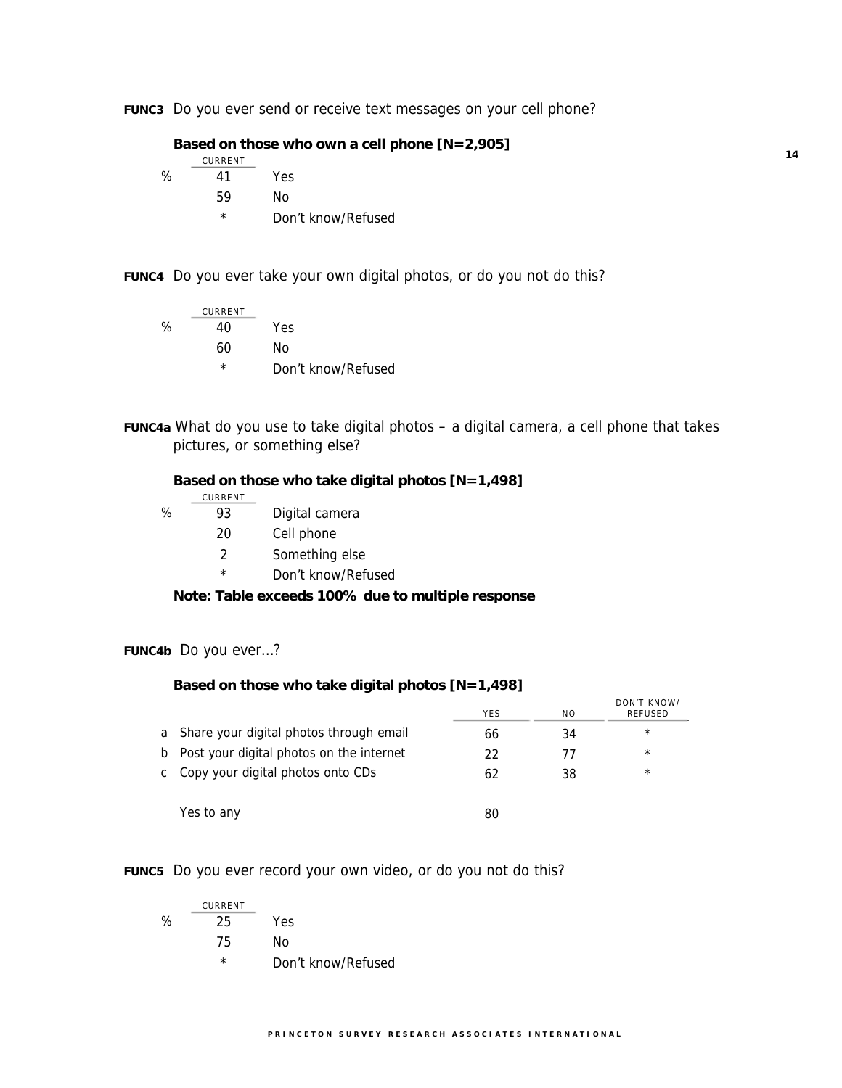**FUNC3** Do you ever send or receive text messages on your cell phone?

 **Based on those who own a cell phone [N=2,905]** 

|   | CURRENT  |                    |
|---|----------|--------------------|
| % | 41       | Yes                |
|   | 59       | Nο                 |
|   | $^\star$ | Don't know/Refused |

**FUNC4** Do you ever take your own digital photos, or do you not do this?

$$
\begin{array}{cc}\n & \text{CURRENT} \\
\% & 40 \\
\hline\n60 & \text{No} \\
\star & \text{Don't know/Refused}\n\end{array}
$$

**FUNC4a** What do you use to take digital photos – a digital camera, a cell phone that takes pictures, or something else?

|                                                   | Based on those who take digital photos $[N=1,498]$ |                    |  |  |
|---------------------------------------------------|----------------------------------------------------|--------------------|--|--|
|                                                   | CURRENT                                            |                    |  |  |
| ℅                                                 | 93                                                 | Digital camera     |  |  |
|                                                   | 20                                                 | Cell phone         |  |  |
|                                                   | 2                                                  | Something else     |  |  |
|                                                   | $\star$                                            | Don't know/Refused |  |  |
| Note: Table exceeds 100% due to multiple response |                                                    |                    |  |  |

**FUNC4b** Do you ever…?

## **Based on those who take digital photos [N=1,498]**

|              |                                          | <b>YES</b> | NO. | DON'T KNOW/<br>REFUSED |
|--------------|------------------------------------------|------------|-----|------------------------|
| a            | Share your digital photos through email  | 66         | 34  | $\star$                |
| b            | Post your digital photos on the internet | 22         | 77  | $\star$                |
| $\mathsf{C}$ | Copy your digital photos onto CDs        | 62         | 38  | $\star$                |
|              |                                          |            |     |                        |
|              | Yes to any                               | 80         |     |                        |

**FUNC5** Do you ever record your own video, or do you not do this?

|   | CURRENT |                    |
|---|---------|--------------------|
| ℅ | 25      | Yes                |
|   | 75      | Nο                 |
|   | *       | Don't know/Refused |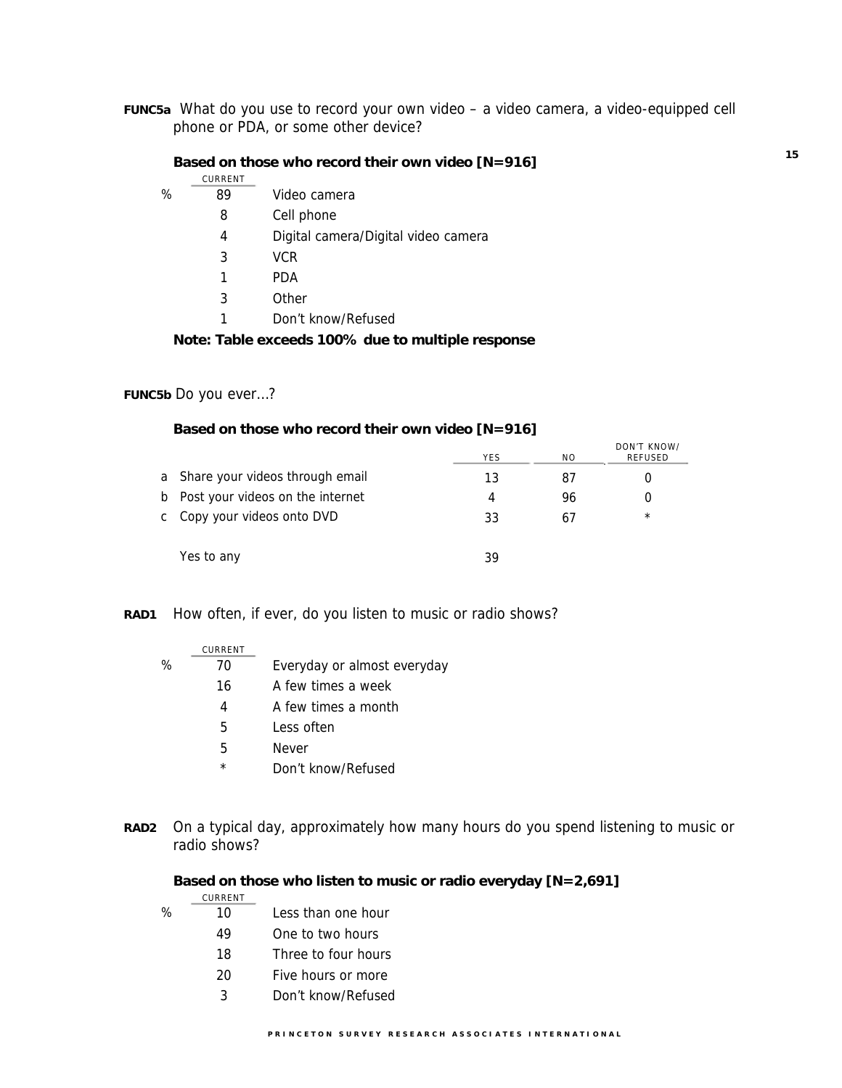**FUNC5a** What do you use to record your own video – a video camera, a video-equipped cell phone or PDA, or some other device?

#### **Based on those who record their own video [N=916]**

|   | CURRENT |                                     |
|---|---------|-------------------------------------|
| % | 89      | Video camera                        |
|   | 8       | Cell phone                          |
|   | 4       | Digital camera/Digital video camera |
|   | 3       | VCR.                                |
|   |         | <b>PDA</b>                          |
|   | 3       | Other                               |
|   | 1       | Don't know/Refused                  |
|   |         |                                     |

## **Note: Table exceeds 100% due to multiple response**

## **FUNC5b** Do you ever…?

#### **Based on those who record their own video [N=916]**

|                                    | <b>YES</b> | N <sub>O</sub> | DON'T KNOW/<br>REFUSED |
|------------------------------------|------------|----------------|------------------------|
| a Share your videos through email  | 13         | 87             |                        |
| b Post your videos on the internet | 4          | 96             |                        |
| c Copy your videos onto DVD        | 33         | 67             | $\star$                |
| Yes to any                         | 39         |                |                        |

### **RAD1** How often, if ever, do you listen to music or radio shows?

|   | CURRENT |                             |
|---|---------|-----------------------------|
| % | 70      | Everyday or almost everyday |
|   | 16      | A few times a week          |
|   | 4       | A few times a month         |
|   | 5       | Less often                  |
|   | 5       | <b>Never</b>                |
|   | $\star$ | Don't know/Refused          |

**RAD2** On a typical day, approximately how many hours do you spend listening to music or radio shows?

### **Based on those who listen to music or radio everyday [N=2,691]**

|   | CURRENT |                     |
|---|---------|---------------------|
| ℅ | 10      | Less than one hour  |
|   | 49      | One to two hours    |
|   | 18      | Three to four hours |
|   | 20      | Five hours or more  |
|   | 3       | Don't know/Refused  |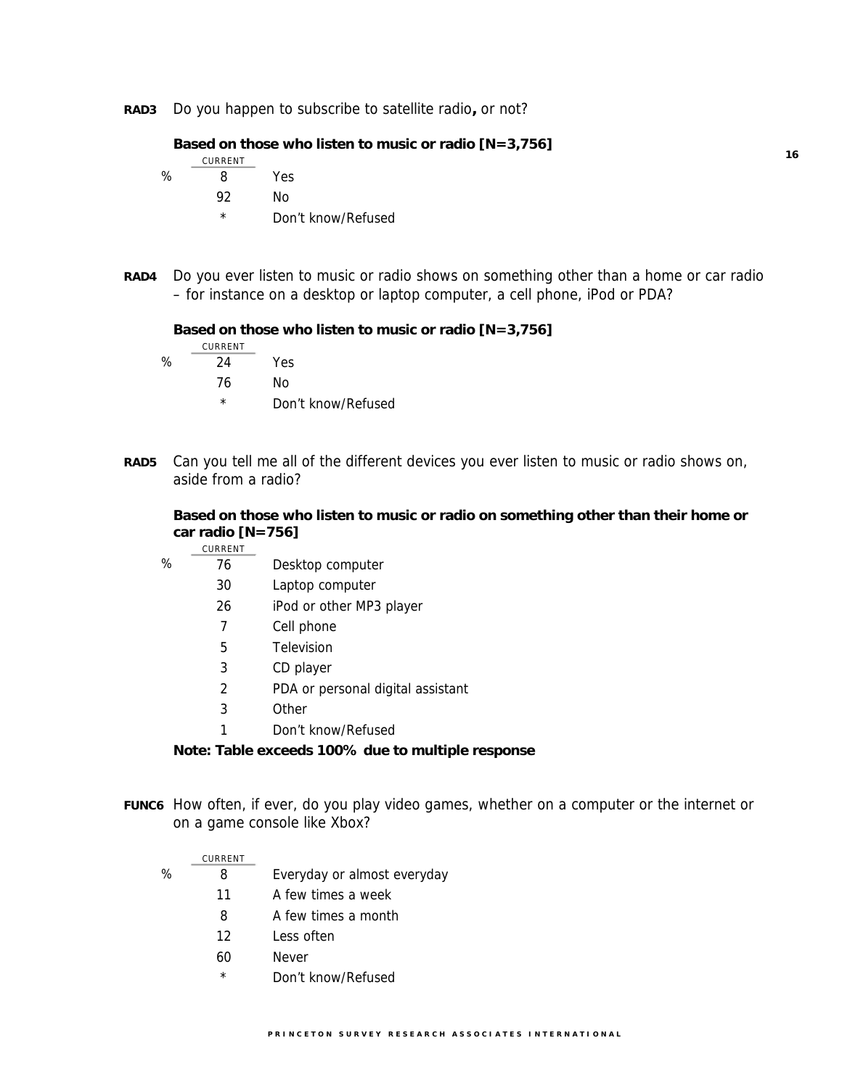**RAD3** Do you happen to subscribe to satellite radio**,** or not?

 **Based on those who listen to music or radio [N=3,756]** 

|   | CURRENT |                    |
|---|---------|--------------------|
| ℅ | Զ       | Yes                |
|   | 92      | Nο                 |
|   | *       | Don't know/Refused |

**RAD4** Do you ever listen to music or radio shows on something other than a home or car radio – for instance on a desktop or laptop computer, a cell phone, iPod or PDA?

 **Based on those who listen to music or radio [N=3,756]** 

|   | CURRENT  |                    |
|---|----------|--------------------|
| % | 24       | Yes                |
|   | 76       | Nο                 |
|   | $^\star$ | Don't know/Refused |

**RAD5** Can you tell me all of the different devices you ever listen to music or radio shows on, aside from a radio?

**Based on those who listen to music or radio on something other than their home or car radio [N=756] CURRENT** 

|   | <b>UURREIVI</b> |                                   |
|---|-----------------|-----------------------------------|
| % | 76              | Desktop computer                  |
|   | 30              | Laptop computer                   |
|   | 26              | iPod or other MP3 player          |
|   | 7               | Cell phone                        |
|   | 5               | Television                        |
|   | 3               | CD player                         |
|   | $\mathcal{P}$   | PDA or personal digital assistant |
|   | 3               | Other                             |
|   |                 | Don't know/Refused                |

#### **Note: Table exceeds 100% due to multiple response**

**FUNC6** How often, if ever, do you play video games, whether on a computer or the internet or on a game console like Xbox?

|   | CURRENT |                             |
|---|---------|-----------------------------|
| ℅ | 8       | Everyday or almost everyday |
|   | 11      | A few times a week          |
|   | 8       | A few times a month         |
|   | 12      | I ess often                 |
|   | 60      | Never                       |
|   | $\star$ | Don't know/Refused          |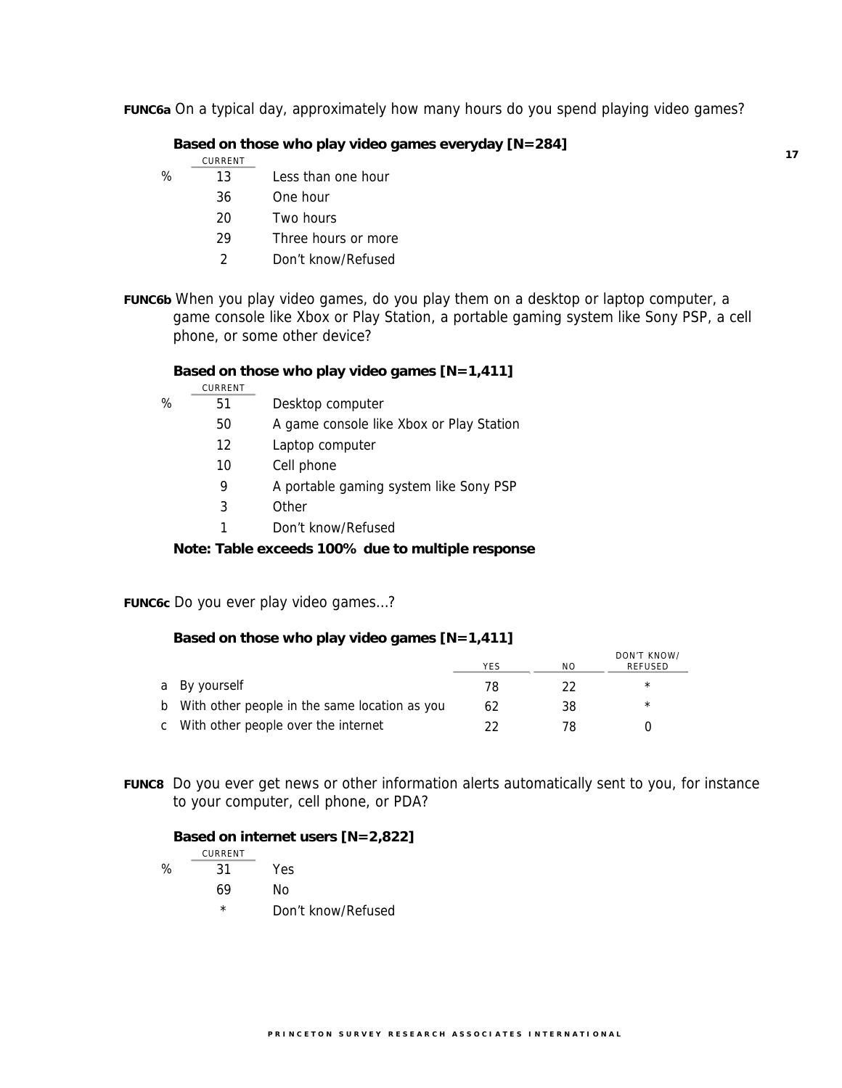**FUNC6a** On a typical day, approximately how many hours do you spend playing video games?

### **Based on those who play video games everyday [N=284]**

- CURRENT
- $\frac{13}{13}$  Less than one hour
	- 36 One hour 20 Two hours
	-
	- 29 Three hours or more
	- 2 Don't know/Refused
- **FUNC6b** When you play video games, do you play them on a desktop or laptop computer, a game console like Xbox or Play Station, a portable gaming system like Sony PSP, a cell phone, or some other device?

#### **Based on those who play video games [N=1,411]**

CURRENT % 51 Desktop computer 50 A game console like Xbox or Play Station 12 Laptop computer 10 Cell phone 9 A portable gaming system like Sony PSP 3 Other 1 Don't know/Refused

 **Note: Table exceeds 100% due to multiple response** 

**FUNC6c** Do you ever play video games…?

#### **Based on those who play video games [N=1,411]**

|                                                 | <b>YES</b> | ΝO | DON'T KNOW/<br>REFUSED |
|-------------------------------------------------|------------|----|------------------------|
| a By yourself                                   | 78         | 22 | $\star$                |
| b With other people in the same location as you | 62         | 38 | $\star$                |
| c With other people over the internet           | つつ         | 78 |                        |

**FUNC8** Do you ever get news or other information alerts automatically sent to you, for instance to your computer, cell phone, or PDA?

#### **Based on internet users [N=2,822]**

|   | CURRENT  |                    |
|---|----------|--------------------|
| % | 31       | Yes                |
|   | 69       | Nο                 |
|   | $^\star$ | Don't know/Refused |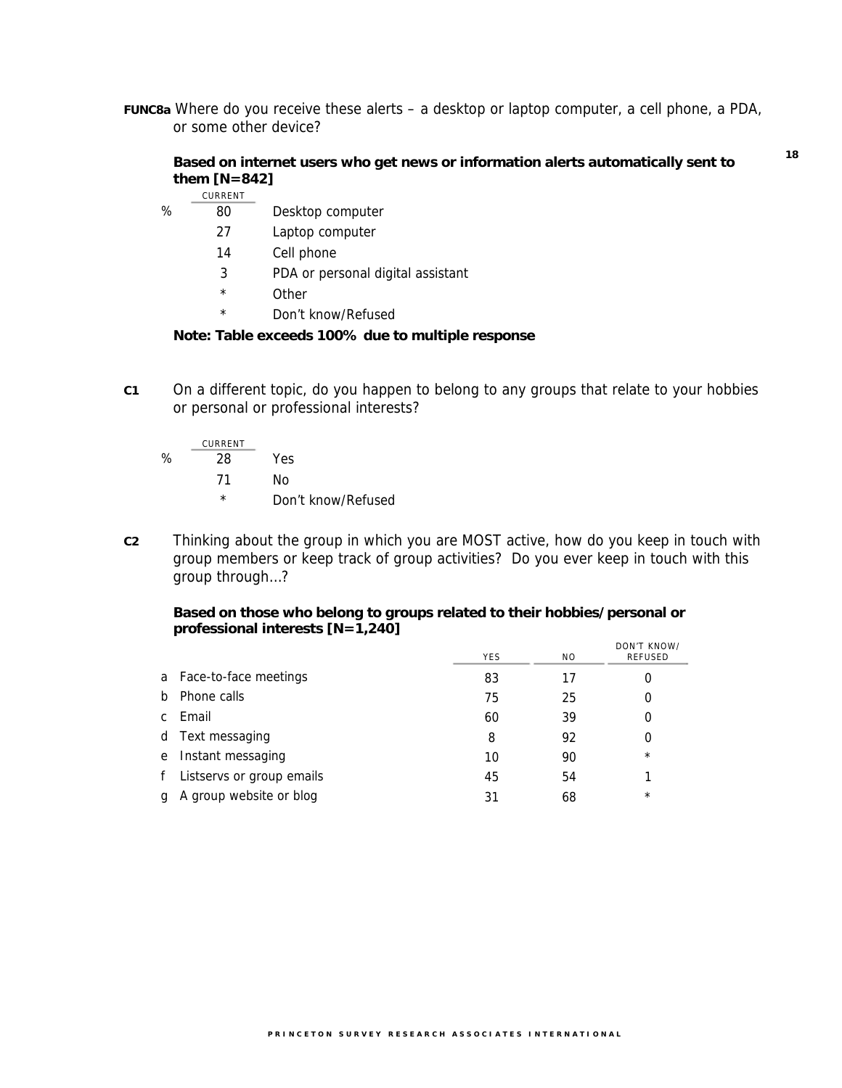**FUNC8a** Where do you receive these alerts – a desktop or laptop computer, a cell phone, a PDA, or some other device?

### **Based on internet users who get news or information alerts automatically sent to them [N=842]**

|      | CURRENT |                                   |
|------|---------|-----------------------------------|
| $\%$ | 80      | Desktop computer                  |
|      | 27      | Laptop computer                   |
|      | 14      | Cell phone                        |
|      | 3       | PDA or personal digital assistant |
|      | $\star$ | Other                             |
|      | ÷       |                                   |

Don't know/Refused

### **Note: Table exceeds 100% due to multiple response**

**C1** On a different topic, do you happen to belong to any groups that relate to your hobbies or personal or professional interests?

$$
\% \frac{\text{current}}{28} \text{ Yes}
$$
\n
$$
\frac{71}{10} \text{ No}
$$
\n
$$
\frac{\text{Non't know/Refused}}{200}
$$

**C2** Thinking about the group in which you are MOST active, how do you keep in touch with group members or keep track of group activities? Do you ever keep in touch with this group through…?

### **Based on those who belong to groups related to their hobbies/personal or professional interests [N=1,240]**

|              |                           | <b>YES</b> | N <sub>O</sub> | DON'T KNOW/<br>REFUSED |
|--------------|---------------------------|------------|----------------|------------------------|
|              | a Face-to-face meetings   | 83         | 17             |                        |
|              | b Phone calls             | 75         | 25             | 0                      |
| $\mathsf{C}$ | Email                     | 60         | 39             |                        |
|              | d Text messaging          | 8          | 92             | 0                      |
|              | e Instant messaging       | 10         | 90             | $\star$                |
| f            | Listservs or group emails | 45         | 54             |                        |
| q            | A group website or blog   | 31         | 68             | $^{\star}$             |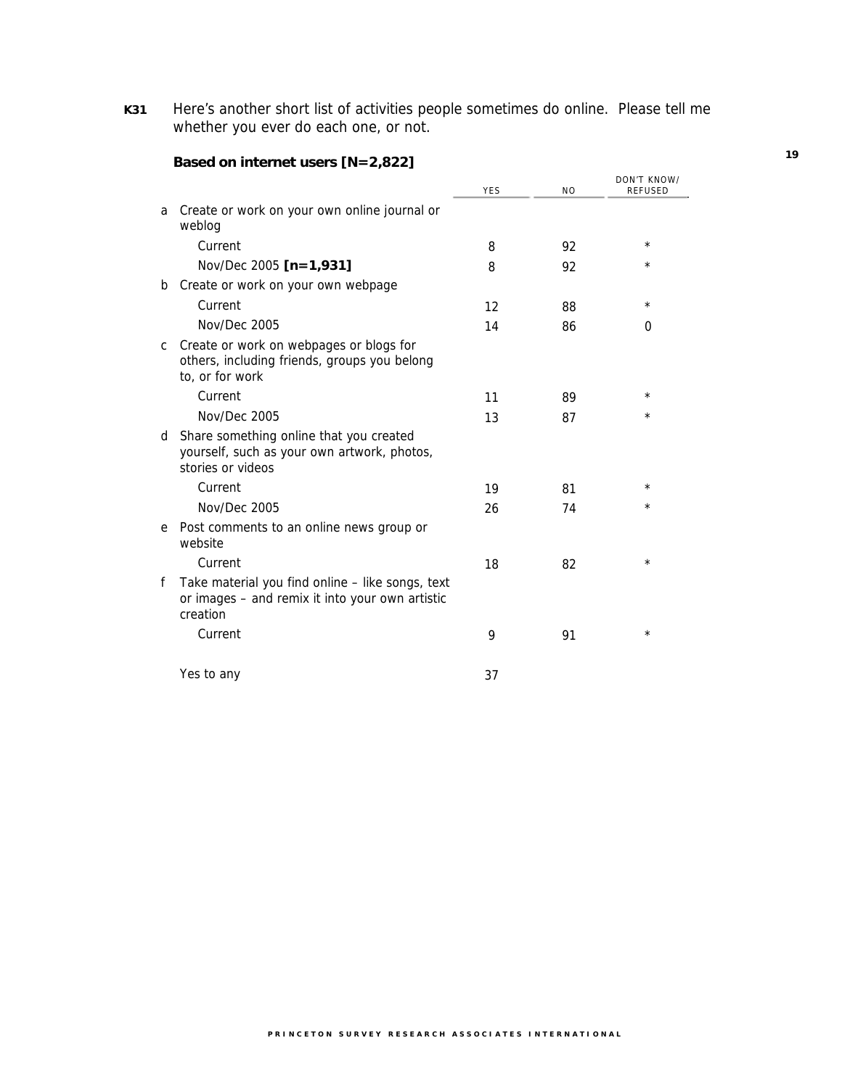**K31** Here's another short list of activities people sometimes do online. Please tell me whether you ever do each one, or not.

|   |                                                                                                                 | <b>YES</b> | N <sub>O</sub> | DON'T KNOW/<br>REFUSED |
|---|-----------------------------------------------------------------------------------------------------------------|------------|----------------|------------------------|
| a | Create or work on your own online journal or<br>weblog                                                          |            |                |                        |
|   | Current                                                                                                         | 8          | 92             | $^\star$               |
|   | Nov/Dec 2005 [n=1,931]                                                                                          | 8          | 92             | *                      |
| b | Create or work on your own webpage                                                                              |            |                |                        |
|   | Current                                                                                                         | 12         | 88             | $^\star$               |
|   | Nov/Dec 2005                                                                                                    | 14         | 86             | 0                      |
| C | Create or work on webpages or blogs for<br>others, including friends, groups you belong<br>to, or for work      |            |                |                        |
|   | Current                                                                                                         | 11         | 89             | $^\star$               |
|   | Nov/Dec 2005                                                                                                    | 13         | 87             | $^{\star}$             |
| d | Share something online that you created<br>yourself, such as your own artwork, photos,<br>stories or videos     |            |                |                        |
|   | Current                                                                                                         | 19         | 81             | $^\star$               |
|   | <b>Nov/Dec 2005</b>                                                                                             | 26         | 74             | $^{\star}$             |
| e | Post comments to an online news group or<br>website                                                             |            |                |                        |
|   | Current                                                                                                         | 18         | 82             | $^\star$               |
| f | Take material you find online - like songs, text<br>or images - and remix it into your own artistic<br>creation |            |                |                        |
|   | Current                                                                                                         | 9          | 91             | $\star$                |
|   | Yes to any                                                                                                      | 37         |                |                        |

# **Based on internet users [N=2,822]**

**PRINCETON SURVEY RESEARCH ASSOCIATES INTERNATIONAL**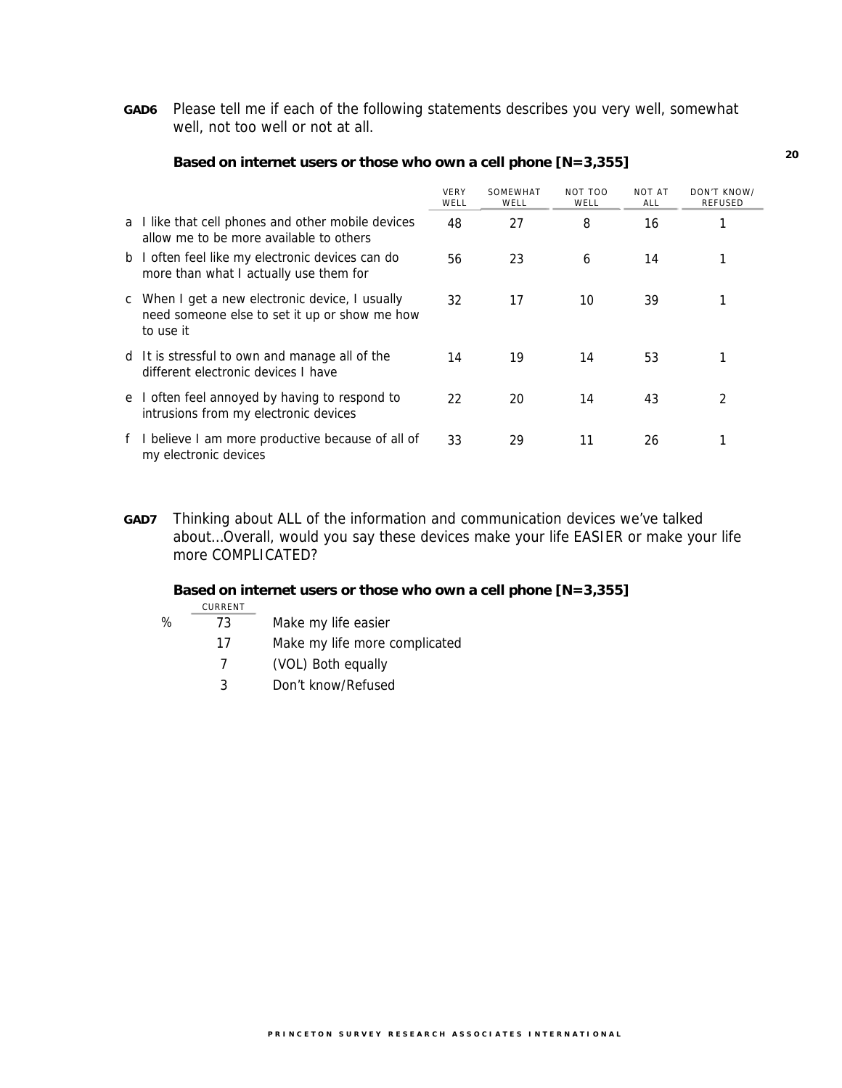**GAD6** Please tell me if each of the following statements describes you very well, somewhat well, not too well or not at all.

|                                                                                                               | <b>VERY</b><br>WELL | SOMEWHAT<br>WELL | NOT TOO<br>WELL | <b>NOT AT</b><br>ALL | DON'T KNOW/<br>REFUSED |
|---------------------------------------------------------------------------------------------------------------|---------------------|------------------|-----------------|----------------------|------------------------|
| a I like that cell phones and other mobile devices<br>allow me to be more available to others                 | 48                  | 27               | 8               | 16                   |                        |
| b I often feel like my electronic devices can do<br>more than what I actually use them for                    | 56                  | 23               | 6               | 14                   |                        |
| c When I get a new electronic device, I usually<br>need someone else to set it up or show me how<br>to use it | 32                  | 17               | 10              | 39                   |                        |
| d It is stressful to own and manage all of the<br>different electronic devices I have                         | 14                  | 19               | 14              | 53                   |                        |
| e I often feel annoyed by having to respond to<br>intrusions from my electronic devices                       | 22                  | 20               | 14              | 43                   | 2                      |
| f I believe I am more productive because of all of<br>my electronic devices                                   | 33                  | 29               | 11              | 26                   | 1                      |

#### **Based on internet users or those who own a cell phone [N=3,355]**

**GAD7** Thinking about ALL of the information and communication devices we've talked about…Overall, would you say these devices make your life EASIER or make your life more COMPLICATED?

## **Based on internet users or those who own a cell phone [N=3,355]**

CURRENT

## % 73 Make my life easier

- 17 Make my life more complicated
- 7 (VOL) Both equally
- 3 Don't know/Refused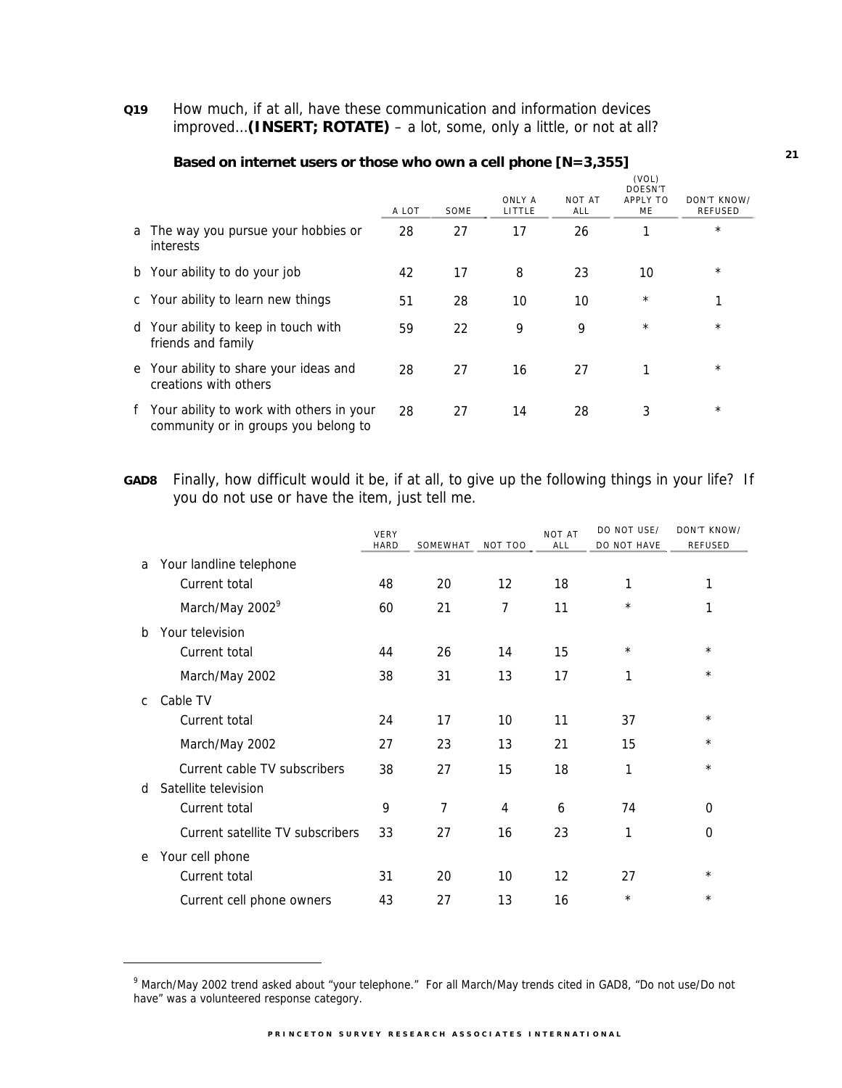### **Q19** How much, if at all, have these communication and information devices improved…**(INSERT; ROTATE)** – a lot, some, only a little, or not at all?

|                                                                                    | A LOT | SOME | ONLY A<br>LITTLE | <b>NOT AT</b><br>ALL | (VOL)<br>DOESN'T<br>APPLY TO<br>ME | DON'T KNOW/<br><b>REFUSED</b> |
|------------------------------------------------------------------------------------|-------|------|------------------|----------------------|------------------------------------|-------------------------------|
| a The way you pursue your hobbies or<br>interests                                  | 28    | 27   | 17               | 26                   |                                    | $^{\star}$                    |
| b Your ability to do your job                                                      | 42    | 17   | 8                | 23                   | 10                                 | $\star$                       |
| c Your ability to learn new things                                                 | 51    | 28   | 10               | 10                   | $^\star$                           | 1                             |
| d Your ability to keep in touch with<br>friends and family                         | 59    | 22   | 9                | 9                    | $^\star$                           | $\star$                       |
| e Your ability to share your ideas and<br>creations with others                    | 28    | 27   | 16               | 27                   | 1                                  | $^\star$                      |
| f Your ability to work with others in your<br>community or in groups you belong to | 28    | 27   | 14               | 28                   | 3                                  | $^{\star}$                    |

#### **Based on internet users or those who own a cell phone [N=3,355]**

**GAD8** Finally, how difficult would it be, if at all, to give up the following things in your life? If you do not use or have the item, just tell me.

|              |                                  | VERY        |                |                | <b>NOT AT</b> | DO NOT USE/ | DON'T KNOW/    |
|--------------|----------------------------------|-------------|----------------|----------------|---------------|-------------|----------------|
|              |                                  | <b>HARD</b> | SOMEWHAT       | NOT TOO        | ALL           | DO NOT HAVE | <b>REFUSED</b> |
| a            | Your landline telephone          |             |                |                |               |             |                |
|              | Current total                    | 48          | 20             | 12             | 18            | 1           | 1              |
|              | March/May 2002 <sup>9</sup>      | 60          | 21             | $\overline{7}$ | 11            | $^\star$    | 1              |
| b            | Your television                  |             |                |                |               |             |                |
|              | Current total                    | 44          | 26             | 14             | 15            | $\star$     | $^\star$       |
|              | March/May 2002                   | 38          | 31             | 13             | 17            | 1           | $\star$        |
| $\mathsf{C}$ | Cable TV                         |             |                |                |               |             |                |
|              | Current total                    | 24          | 17             | 10             | 11            | 37          | $^\star$       |
|              | March/May 2002                   | 27          | 23             | 13             | 21            | 15          | $^\star$       |
|              | Current cable TV subscribers     | 38          | 27             | 15             | 18            | 1           | $\star$        |
| d            | Satellite television             |             |                |                |               |             |                |
|              | Current total                    | 9           | $\overline{7}$ | 4              | 6             | 74          | 0              |
|              | Current satellite TV subscribers | 33          | 27             | 16             | 23            | 1           | 0              |
| e            | Your cell phone                  |             |                |                |               |             |                |
|              | Current total                    | 31          | 20             | 10             | 12            | 27          | $^\star$       |
|              | Current cell phone owners        | 43          | 27             | 13             | 16            | $\star$     | $\star$        |

 $\overline{a}$ 

<sup>9</sup> March/May 2002 trend asked about "your telephone." For all March/May trends cited in GAD8, "Do not use/Do not have" was a volunteered response category.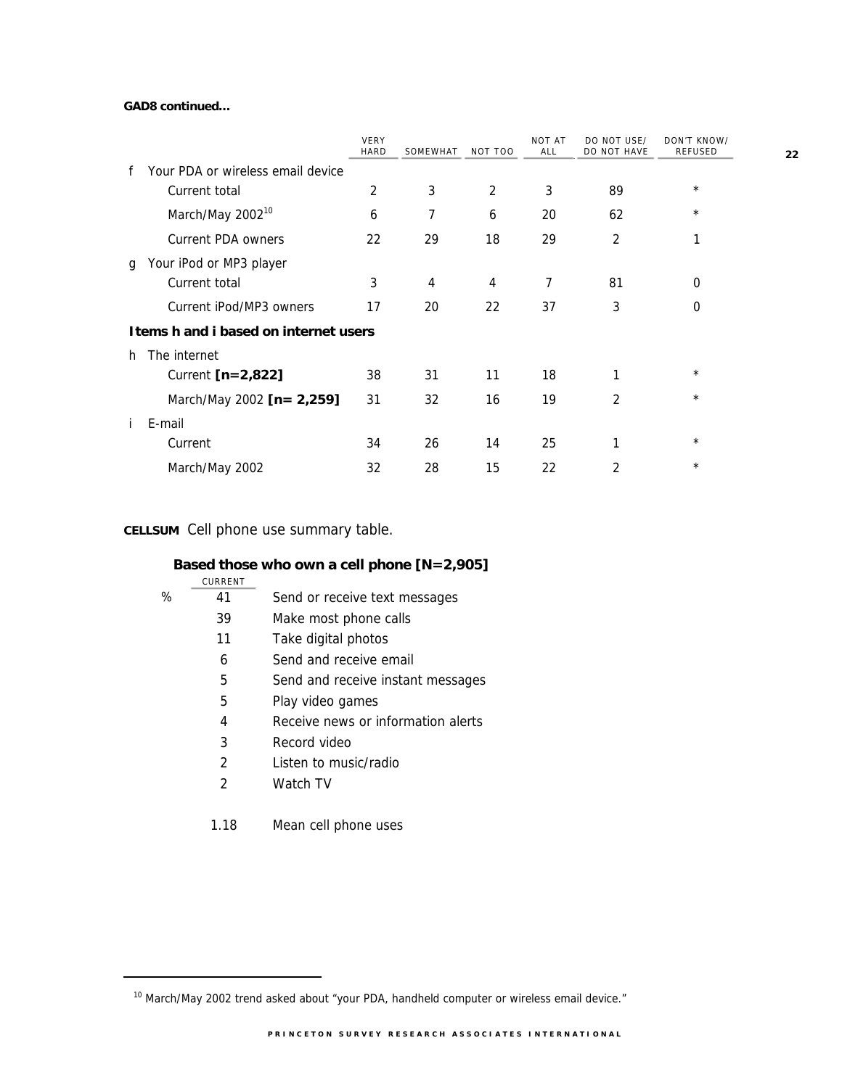### **GAD8 continued…**

|                                   | VERY<br><b>HARD</b> | SOMEWHAT                              | NOT TOO        | NOT AT<br>ALL | DO NOT USE/<br><b>DO NOT HAVE</b> | DON'T KNOW/<br><b>REFUSED</b> |
|-----------------------------------|---------------------|---------------------------------------|----------------|---------------|-----------------------------------|-------------------------------|
| Your PDA or wireless email device |                     |                                       |                |               |                                   |                               |
| Current total                     | 2                   | 3                                     | $\overline{2}$ | 3             | 89                                | $^\star$                      |
| March/May 2002 <sup>10</sup>      | 6                   | 7                                     | 6              | 20            | 62                                | $^\star$                      |
| Current PDA owners                | 22                  | 29                                    | 18             | 29            | 2                                 | 1                             |
| Your iPod or MP3 player           |                     |                                       |                |               |                                   |                               |
| Current total                     | 3                   | 4                                     | $\overline{4}$ | 7             | 81                                | 0                             |
| Current iPod/MP3 owners           | 17                  | 20                                    | 22             | 37            | 3                                 | 0                             |
|                                   |                     |                                       |                |               |                                   |                               |
| The internet                      |                     |                                       |                |               |                                   |                               |
| Current [n=2,822]                 | 38                  | 31                                    | 11             | 18            | 1                                 | $^\star$                      |
| March/May 2002 [n = 2,259]        | 31                  | 32                                    | 16             | 19            | 2                                 | $^\star$                      |
| E-mail                            |                     |                                       |                |               |                                   |                               |
| Current                           | 34                  | 26                                    | 14             | 25            | 1                                 | $^\star$                      |
| March/May 2002                    | 32                  | 28                                    | 15             | 22            | 2                                 | $\star$                       |
|                                   |                     | Items h and i based on internet users |                |               |                                   |                               |

## **CELLSUM** Cell phone use summary table.

# **Based those who own a cell phone [N=2,905]**

|   | CURRENT |                                    |
|---|---------|------------------------------------|
| ℅ | 41      | Send or receive text messages      |
|   | 39      | Make most phone calls              |
|   | 11      | Take digital photos                |
|   | 6       | Send and receive email             |
|   | 5       | Send and receive instant messages  |
|   | 5       | Play video games                   |
|   | 4       | Receive news or information alerts |
|   | 3       | Record video                       |
|   | 2       | Listen to music/radio              |
|   | 2       | Watch TV                           |
|   |         |                                    |

1.18 Mean cell phone uses

-

**<sup>22</sup>**

 $10$  March/May 2002 trend asked about "your PDA, handheld computer or wireless email device."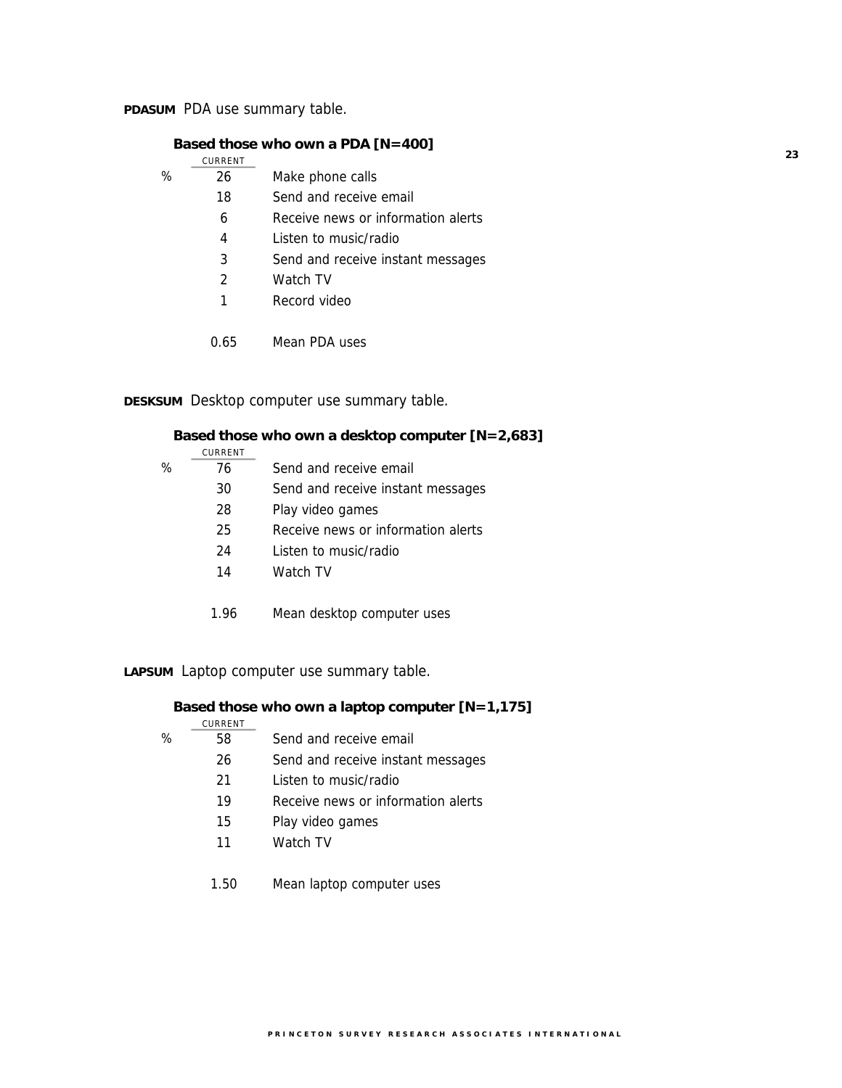**PDASUM** PDA use summary table.

### **Based those who own a PDA [N=400]**

|   | CURRENT |                                    |
|---|---------|------------------------------------|
| ℅ | 26      | Make phone calls                   |
|   | 18      | Send and receive email             |
|   | 6       | Receive news or information alerts |
|   | 4       | Listen to music/radio              |
|   | 3       | Send and receive instant messages  |
|   | 2       | Watch TV                           |
|   | 1       | Record video                       |
|   |         |                                    |
|   | 0.65    | Mean PDA uses                      |

## **DESKSUM** Desktop computer use summary table.

| Based those who own a desktop computer [N=2,683] |  |  |  |  |  |  |  |  |  |
|--------------------------------------------------|--|--|--|--|--|--|--|--|--|
|                                                  |  |  |  |  |  |  |  |  |  |
|                                                  |  |  |  |  |  |  |  |  |  |
|                                                  |  |  |  |  |  |  |  |  |  |
|                                                  |  |  |  |  |  |  |  |  |  |
|                                                  |  |  |  |  |  |  |  |  |  |
|                                                  |  |  |  |  |  |  |  |  |  |
|                                                  |  |  |  |  |  |  |  |  |  |
|                                                  |  |  |  |  |  |  |  |  |  |
|                                                  |  |  |  |  |  |  |  |  |  |
|                                                  |  |  |  |  |  |  |  |  |  |

**LAPSUM** Laptop computer use summary table.

### **Based those who own a laptop computer [N=1,175]**

|   | CURRENT |                                    |
|---|---------|------------------------------------|
| ℅ | 58      | Send and receive email             |
|   | 26      | Send and receive instant messages  |
|   | 21      | Listen to music/radio              |
|   | 19      | Receive news or information alerts |
|   | 15      | Play video games                   |
|   | 11      | Watch TV                           |
|   |         |                                    |
|   |         |                                    |

1.50 Mean laptop computer uses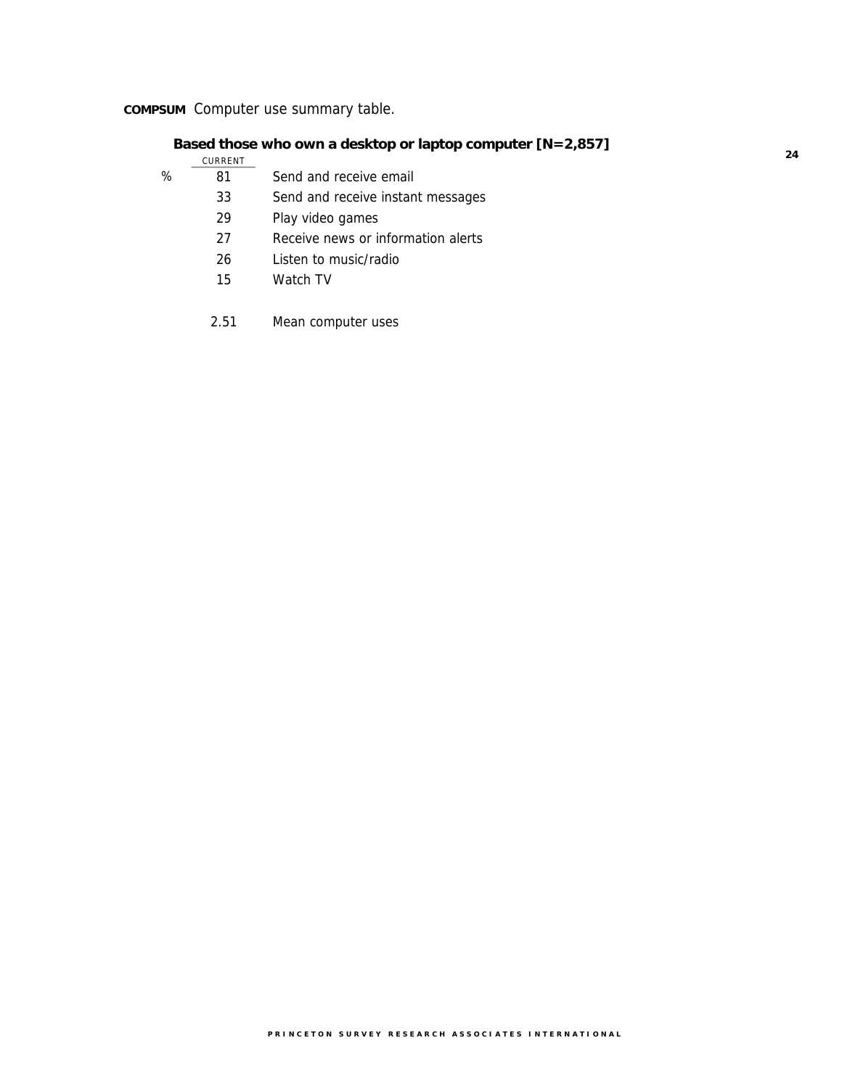# **COMPSUM** Computer use summary table.

## **Based those who own a desktop or laptop computer [N=2,857]**

|   | CURRENT |                                    |
|---|---------|------------------------------------|
| % | 81      | Send and receive email             |
|   | 33      | Send and receive instant messages  |
|   | 29      | Play video games                   |
|   | 27      | Receive news or information alerts |
|   | 26      | Listen to music/radio              |
|   | 15      | Watch TV                           |
|   |         |                                    |

<sup>2.51</sup> Mean computer uses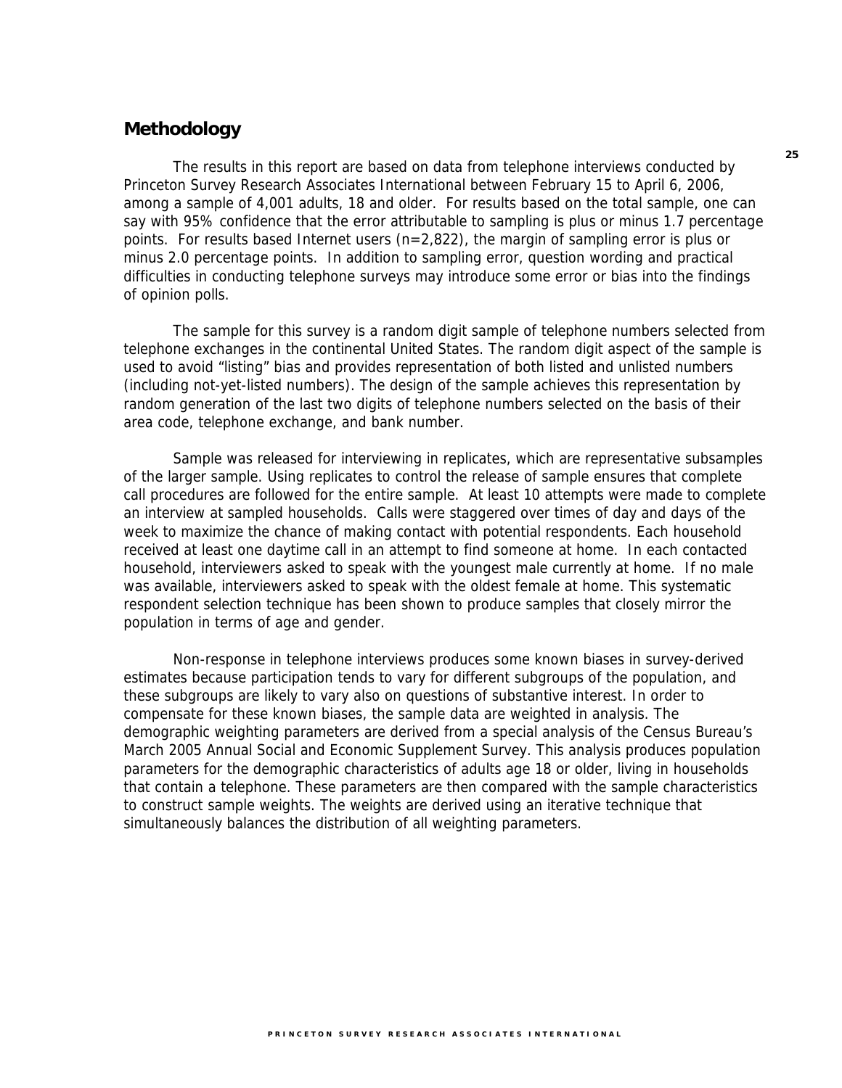## **Methodology**

The results in this report are based on data from telephone interviews conducted by Princeton Survey Research Associates International between February 15 to April 6, 2006, among a sample of 4,001 adults, 18 and older. For results based on the total sample, one can say with 95% confidence that the error attributable to sampling is plus or minus 1.7 percentage points. For results based Internet users (n=2,822), the margin of sampling error is plus or minus 2.0 percentage points. In addition to sampling error, question wording and practical difficulties in conducting telephone surveys may introduce some error or bias into the findings of opinion polls.

The sample for this survey is a random digit sample of telephone numbers selected from telephone exchanges in the continental United States. The random digit aspect of the sample is used to avoid "listing" bias and provides representation of both listed and unlisted numbers (including not-yet-listed numbers). The design of the sample achieves this representation by random generation of the last two digits of telephone numbers selected on the basis of their area code, telephone exchange, and bank number.

Sample was released for interviewing in replicates, which are representative subsamples of the larger sample. Using replicates to control the release of sample ensures that complete call procedures are followed for the entire sample. At least 10 attempts were made to complete an interview at sampled households. Calls were staggered over times of day and days of the week to maximize the chance of making contact with potential respondents. Each household received at least one daytime call in an attempt to find someone at home. In each contacted household, interviewers asked to speak with the youngest male currently at home. If no male was available, interviewers asked to speak with the oldest female at home. This systematic respondent selection technique has been shown to produce samples that closely mirror the population in terms of age and gender.

Non-response in telephone interviews produces some known biases in survey-derived estimates because participation tends to vary for different subgroups of the population, and these subgroups are likely to vary also on questions of substantive interest. In order to compensate for these known biases, the sample data are weighted in analysis. The demographic weighting parameters are derived from a special analysis of the Census Bureau's March 2005 Annual Social and Economic Supplement Survey. This analysis produces population parameters for the demographic characteristics of adults age 18 or older, living in households that contain a telephone. These parameters are then compared with the sample characteristics to construct sample weights. The weights are derived using an iterative technique that simultaneously balances the distribution of all weighting parameters.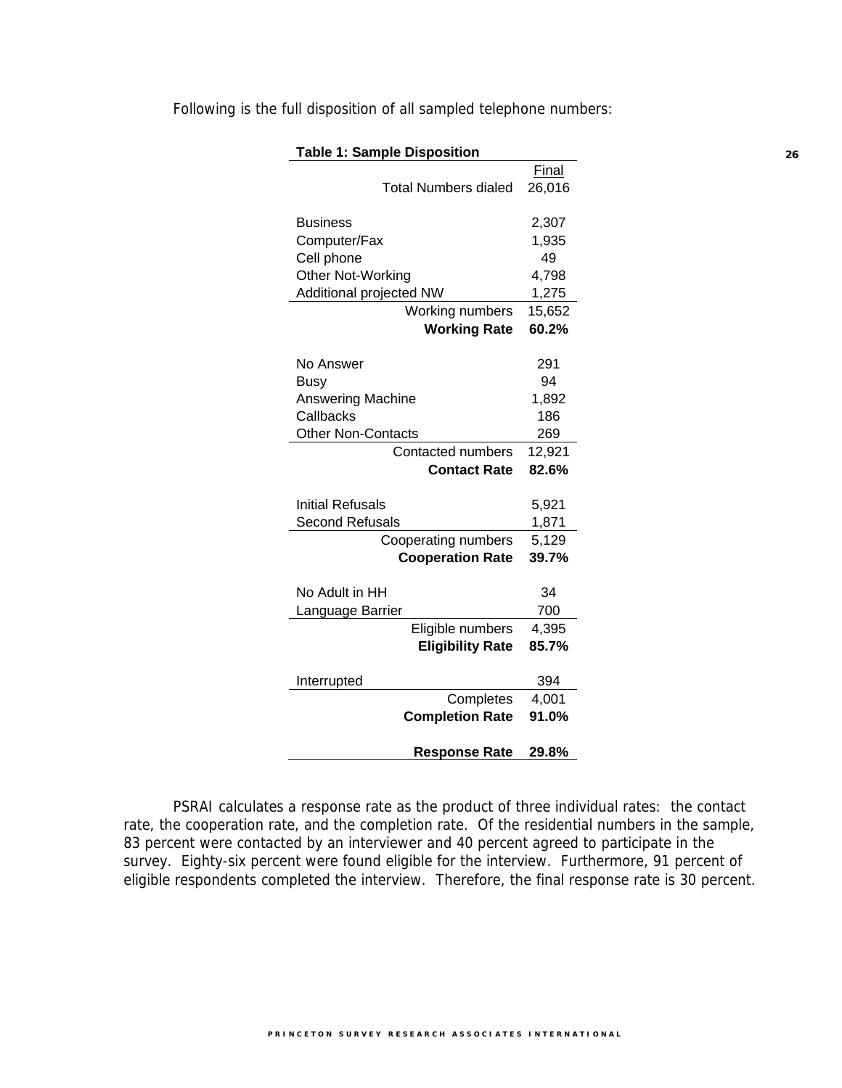| <b>Table 1: Sample Disposition</b> |              |  |  |  |  |
|------------------------------------|--------------|--|--|--|--|
|                                    | <b>Final</b> |  |  |  |  |
| <b>Total Numbers dialed</b>        | 26,016       |  |  |  |  |
|                                    |              |  |  |  |  |
| <b>Business</b>                    | 2,307        |  |  |  |  |
| Computer/Fax                       | 1,935        |  |  |  |  |
| Cell phone                         | 49           |  |  |  |  |
| Other Not-Working                  | 4,798        |  |  |  |  |
| Additional projected NW            | 1,275        |  |  |  |  |
| Working numbers                    | 15,652       |  |  |  |  |
| <b>Working Rate</b>                | 60.2%        |  |  |  |  |
|                                    |              |  |  |  |  |
| No Answer                          | 291          |  |  |  |  |
| <b>Busy</b>                        | 94           |  |  |  |  |
| <b>Answering Machine</b>           | 1,892        |  |  |  |  |
| Callbacks                          | 186          |  |  |  |  |
| <b>Other Non-Contacts</b>          | 269          |  |  |  |  |
| Contacted numbers                  | 12,921       |  |  |  |  |
| <b>Contact Rate</b>                | 82.6%        |  |  |  |  |
|                                    |              |  |  |  |  |
| <b>Initial Refusals</b>            | 5,921        |  |  |  |  |
| <b>Second Refusals</b>             | 1,871        |  |  |  |  |
| Cooperating numbers                | 5,129        |  |  |  |  |
| <b>Cooperation Rate</b>            | 39.7%        |  |  |  |  |
|                                    |              |  |  |  |  |
| No Adult in HH                     | 34           |  |  |  |  |
| Language Barrier                   | 700          |  |  |  |  |
| Eligible numbers                   | 4,395        |  |  |  |  |
| <b>Eligibility Rate</b>            | 85.7%        |  |  |  |  |
|                                    |              |  |  |  |  |
| Interrupted                        | 394          |  |  |  |  |
| Completes                          | 4,001        |  |  |  |  |
| <b>Completion Rate</b>             | 91.0%        |  |  |  |  |
| <b>Response Rate</b>               | 29.8%        |  |  |  |  |

Following is the full disposition of all sampled telephone numbers:

PSRAI calculates a response rate as the product of three individual rates: the contact rate, the cooperation rate, and the completion rate. Of the residential numbers in the sample, 83 percent were contacted by an interviewer and 40 percent agreed to participate in the survey. Eighty-six percent were found eligible for the interview. Furthermore, 91 percent of eligible respondents completed the interview. Therefore, the final response rate is 30 percent.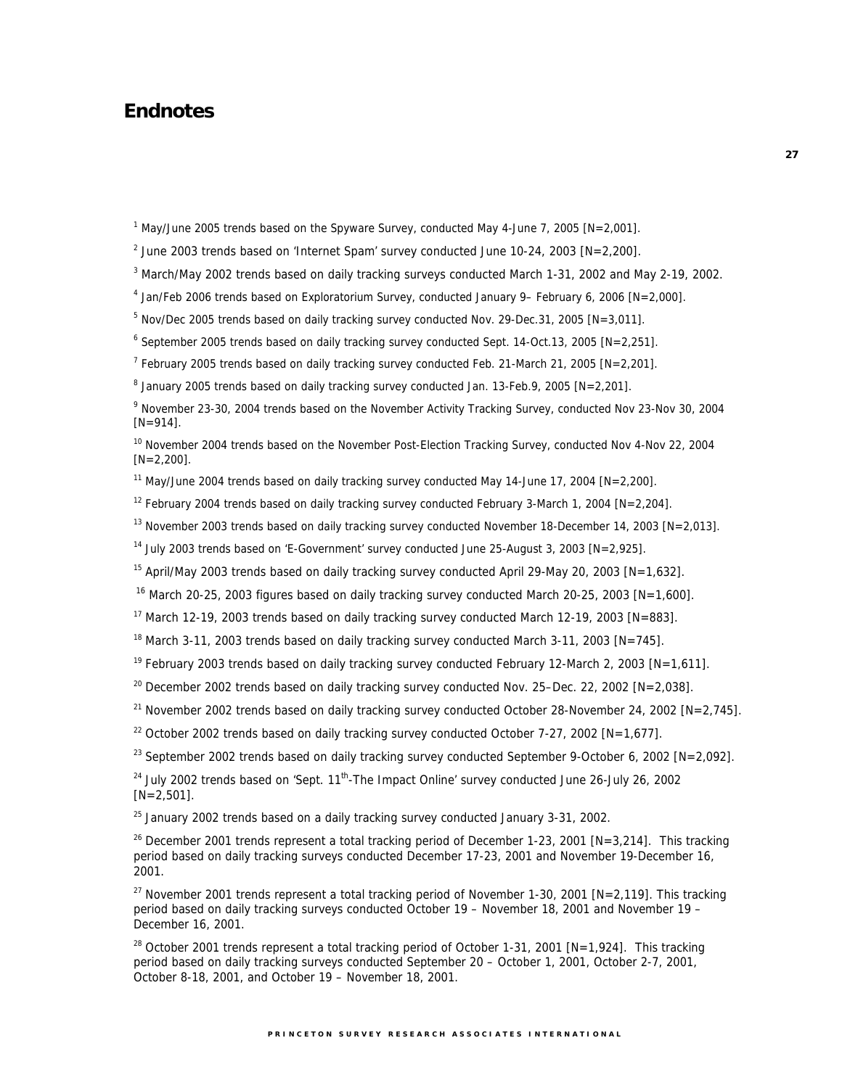# **Endnotes**

<sup>1</sup> May/June 2005 trends based on the Spyware Survey, conducted May 4-June 7, 2005 [N=2,001].

<sup>2</sup> June 2003 trends based on 'Internet Spam' survey conducted June 10-24, 2003  $[N=2,200]$ .

<sup>3</sup> March/May 2002 trends based on daily tracking surveys conducted March 1-31, 2002 and May 2-19, 2002.

4 Jan/Feb 2006 trends based on Exploratorium Survey, conducted January 9– February 6, 2006 [N=2,000].

 $5$  Nov/Dec 2005 trends based on daily tracking survey conducted Nov. 29-Dec.31, 2005 [N=3,011].

 $6$  September 2005 trends based on daily tracking survey conducted Sept. 14-Oct.13, 2005 [N=2,251].

<sup>7</sup> February 2005 trends based on daily tracking survey conducted Feb. 21-March 21, 2005 [N=2,201].

<sup>8</sup> January 2005 trends based on daily tracking survey conducted Jan. 13-Feb.9, 2005 [N=2,201].

<sup>9</sup> November 23-30, 2004 trends based on the November Activity Tracking Survey, conducted Nov 23-Nov 30, 2004  $[N=914]$ .

<sup>10</sup> November 2004 trends based on the November Post-Election Tracking Survey, conducted Nov 4-Nov 22, 2004  $[N=2,200]$ .

<sup>11</sup> May/June 2004 trends based on daily tracking survey conducted May 14-June 17, 2004 [N=2,200].

<sup>12</sup> February 2004 trends based on daily tracking survey conducted February 3-March 1, 2004 [N=2,204].

<sup>13</sup> November 2003 trends based on daily tracking survey conducted November 18-December 14, 2003 [N=2,013].

<sup>14</sup> July 2003 trends based on 'E-Government' survey conducted June 25-August 3, 2003 [N=2,925].

<sup>15</sup> April/May 2003 trends based on daily tracking survey conducted April 29-May 20, 2003 [N=1,632].

<sup>16</sup> March 20-25, 2003 figures based on daily tracking survey conducted March 20-25, 2003 [N=1,600].

<sup>17</sup> March 12-19, 2003 trends based on daily tracking survey conducted March 12-19, 2003 [N=883].

<sup>18</sup> March 3-11, 2003 trends based on daily tracking survey conducted March 3-11, 2003 [N=745].

<sup>19</sup> February 2003 trends based on daily tracking survey conducted February 12-March 2, 2003 [N=1,611].

<sup>20</sup> December 2002 trends based on daily tracking survey conducted Nov. 25–Dec. 22, 2002 [N=2,038].

<sup>21</sup> November 2002 trends based on daily tracking survey conducted October 28-November 24, 2002 [N=2,745].

<sup>22</sup> October 2002 trends based on daily tracking survey conducted October 7-27, 2002 [N=1,677].

<sup>23</sup> September 2002 trends based on daily tracking survey conducted September 9-October 6, 2002 [N=2,092].

 $24$  July 2002 trends based on 'Sept.  $11<sup>th</sup>$ -The Impact Online' survey conducted June 26-July 26, 2002  $[N=2,501]$ .

 $25$  January 2002 trends based on a daily tracking survey conducted January 3-31, 2002.

<sup>26</sup> December 2001 trends represent a total tracking period of December 1-23, 2001 [N=3,214]. This tracking period based on daily tracking surveys conducted December 17-23, 2001 and November 19-December 16, 2001.

<sup>27</sup> November 2001 trends represent a total tracking period of November 1-30, 2001 [N=2,119]. This tracking period based on daily tracking surveys conducted October 19 – November 18, 2001 and November 19 – December 16, 2001.

<sup>28</sup> October 2001 trends represent a total tracking period of October 1-31, 2001 [N=1,924]. This tracking period based on daily tracking surveys conducted September 20 – October 1, 2001, October 2-7, 2001, October 8-18, 2001, and October 19 – November 18, 2001.